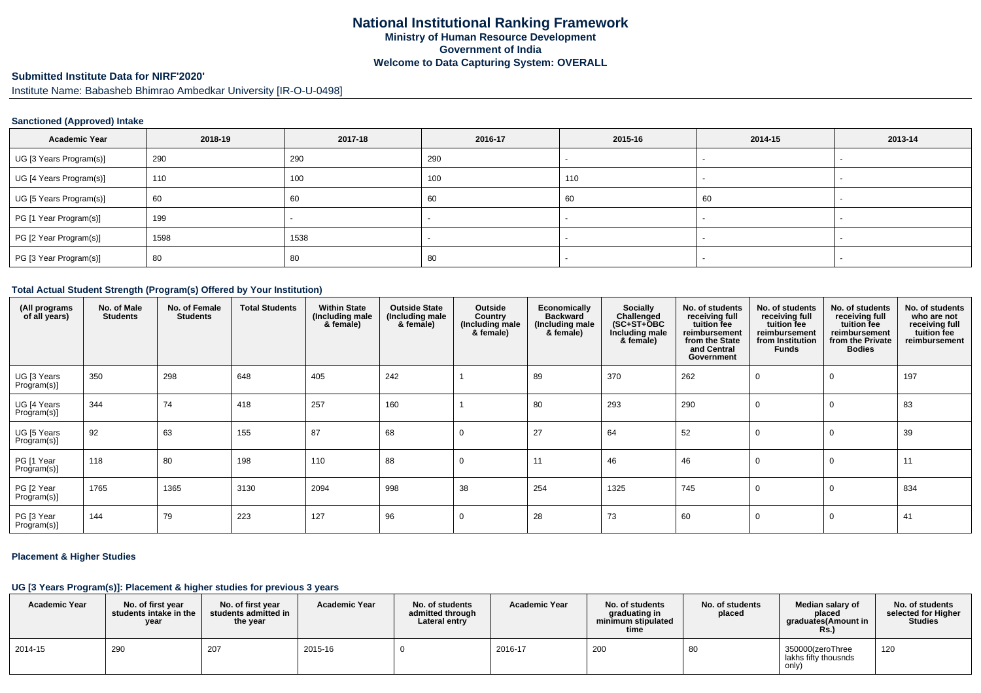# **Submitted Institute Data for NIRF'2020'**

Institute Name: Babasheb Bhimrao Ambedkar University [IR-O-U-0498]

#### **Sanctioned (Approved) Intake**

| <b>Academic Year</b>    | 2018-19 | 2017-18 | 2016-17 | 2015-16 | 2014-15 | 2013-14 |
|-------------------------|---------|---------|---------|---------|---------|---------|
| UG [3 Years Program(s)] | 290     | 290     | 290     |         |         |         |
| UG [4 Years Program(s)] | 110     | 100     | 100     | 110     |         |         |
| UG [5 Years Program(s)] | 60      | 60      | 60      | 60      | 60      |         |
| PG [1 Year Program(s)]  | 199     |         | $\sim$  |         |         |         |
| PG [2 Year Program(s)]  | 1598    | 1538    |         |         |         |         |
| PG [3 Year Program(s)]  | 80      | 80      | 80      |         |         |         |

#### **Total Actual Student Strength (Program(s) Offered by Your Institution)**

| (All programs<br>of all years) | No. of Male<br><b>Students</b> | No. of Female<br><b>Students</b> | <b>Total Students</b> | <b>Within State</b><br>(Including male<br>& female) | <b>Outside State</b><br>(Including male<br>& female) | Outside<br>Country<br>(Including male<br>& female) | Economically<br><b>Backward</b><br>(Including male<br>& female) | Socially<br>Challenged<br>$(SC+ST+ÖBC)$<br>Including male<br>& female) | No. of students<br>receiving full<br>tuition fee<br>reimbursement<br>from the State<br>and Central<br>Government | No. of students<br>receiving full<br>tuition fee<br>reimbursement<br>from Institution<br><b>Funds</b> | No. of students<br>receiving full<br>tuition fee<br>reimbursement<br>from the Private<br><b>Bodies</b> | No. of students<br>who are not<br>receiving full<br>tuition fee<br>reimbursement |
|--------------------------------|--------------------------------|----------------------------------|-----------------------|-----------------------------------------------------|------------------------------------------------------|----------------------------------------------------|-----------------------------------------------------------------|------------------------------------------------------------------------|------------------------------------------------------------------------------------------------------------------|-------------------------------------------------------------------------------------------------------|--------------------------------------------------------------------------------------------------------|----------------------------------------------------------------------------------|
| UG [3 Years<br>Program(s)]     | 350                            | 298                              | 648                   | 405                                                 | 242                                                  |                                                    | 89                                                              | 370                                                                    | 262                                                                                                              |                                                                                                       |                                                                                                        | 197                                                                              |
| UG [4 Years<br>Program(s)]     | 344                            | 74                               | 418                   | 257                                                 | 160                                                  |                                                    | 80                                                              | 293                                                                    | 290                                                                                                              |                                                                                                       |                                                                                                        | 83                                                                               |
| UG [5 Years<br>Program(s)]     | 92                             | 63                               | 155                   | 87                                                  | 68                                                   | 0                                                  | 27                                                              | 64                                                                     | 52                                                                                                               |                                                                                                       |                                                                                                        | 39                                                                               |
| PG [1 Year<br>Program(s)]      | 118                            | 80                               | 198                   | 110                                                 | 88                                                   | $\mathbf 0$                                        | 11                                                              | 46                                                                     | 46                                                                                                               |                                                                                                       |                                                                                                        | 11                                                                               |
| PG [2 Year<br>Program(s)]      | 1765                           | 1365                             | 3130                  | 2094                                                | 998                                                  | 38                                                 | 254                                                             | 1325                                                                   | 745                                                                                                              |                                                                                                       |                                                                                                        | 834                                                                              |
| PG [3 Year<br>Program(s)]      | 144                            | 79                               | 223                   | 127                                                 | 96                                                   | 0                                                  | 28                                                              | 73                                                                     | 60                                                                                                               |                                                                                                       | 0                                                                                                      | 41                                                                               |

#### **Placement & Higher Studies**

### **UG [3 Years Program(s)]: Placement & higher studies for previous 3 years**

| <b>Academic Year</b> | No. of first year<br>students intake in the<br>year | No. of first year<br>students admitted in<br>the year | <b>Academic Year</b> | No. of students<br>admitted through<br>Lateral entry | <b>Academic Year</b> | No. of students<br>graduating in<br>minimum stipulated<br>time | No. of students<br>placed | Median salary of<br>placed<br>graduates(Amount in<br>Rs. | No. of students<br>selected for Higher<br><b>Studies</b> |
|----------------------|-----------------------------------------------------|-------------------------------------------------------|----------------------|------------------------------------------------------|----------------------|----------------------------------------------------------------|---------------------------|----------------------------------------------------------|----------------------------------------------------------|
| 2014-15              | 290                                                 | 207                                                   | 2015-16              |                                                      | 2016-17              | 200                                                            | 80                        | 350000(zeroThree<br>lakhs fifty thousnds<br>only)        | 120                                                      |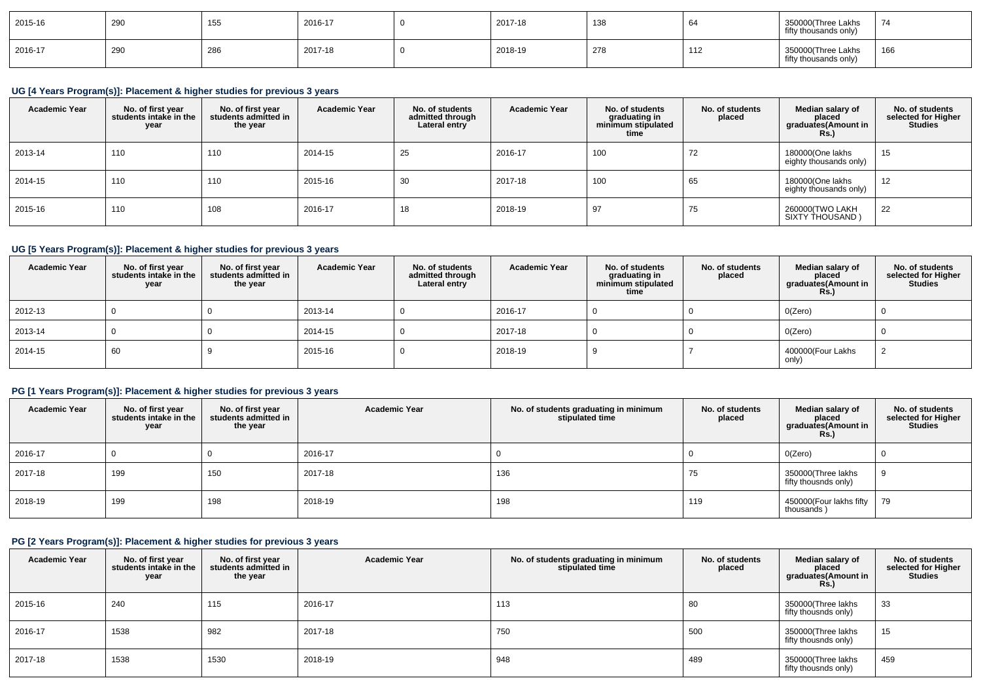| 2015-16 | 290 | AE<br>າວວ | 2016-17 | 2017-18 | 138 | O∸                           | 350000(Three Lakhs<br>fifty thousands only) | $\rightarrow$ |
|---------|-----|-----------|---------|---------|-----|------------------------------|---------------------------------------------|---------------|
| 2016-17 | 290 | 286       | 2017-18 | 2018-19 | 278 | $\overline{A}$<br>. <u>.</u> | 350000(Three Lakhs<br>fifty thousands only) | 166           |

# **UG [4 Years Program(s)]: Placement & higher studies for previous 3 years**

| <b>Academic Year</b> | No. of first year<br>students intake in the<br>year | No. of first year<br>students admitted in<br>the year | <b>Academic Year</b> | No. of students<br>admitted through<br>Lateral entry | <b>Academic Year</b> | No. of students<br>graduating in<br>minimum stipulated<br>time | No. of students<br>placed | Median salary of<br>placed<br>graduates(Amount in<br><b>Rs.</b> ) | No. of students<br>selected for Higher<br><b>Studies</b> |
|----------------------|-----------------------------------------------------|-------------------------------------------------------|----------------------|------------------------------------------------------|----------------------|----------------------------------------------------------------|---------------------------|-------------------------------------------------------------------|----------------------------------------------------------|
| 2013-14              | 110                                                 | 110                                                   | 2014-15              | 25                                                   | 2016-17              | 100                                                            | 72                        | 180000(One lakhs<br>eighty thousands only)                        | 15                                                       |
| 2014-15              | 110                                                 | 110                                                   | 2015-16              | 30                                                   | 2017-18              | 100                                                            | 65                        | 180000(One lakhs<br>eighty thousands only)                        | 12                                                       |
| 2015-16              | 110                                                 | 108                                                   | 2016-17              | 18                                                   | 2018-19              | 97                                                             | 75                        | 260000 TWO LAKH<br>SIXTY THOUSAND)                                | 22                                                       |

# **UG [5 Years Program(s)]: Placement & higher studies for previous 3 years**

| <b>Academic Year</b> | No. of first year<br>students intake in the<br>year | No. of first vear<br>students admitted in<br>the year | <b>Academic Year</b> | No. of students<br>admitted through<br>Lateral entry | <b>Academic Year</b> | No. of students<br>graduating in<br>minimum stipulated<br>time | No. of students<br>placed | Median salary of<br>placed<br>graduates(Amount in<br>Rs.) | No. of students<br>selected for Higher<br><b>Studies</b> |
|----------------------|-----------------------------------------------------|-------------------------------------------------------|----------------------|------------------------------------------------------|----------------------|----------------------------------------------------------------|---------------------------|-----------------------------------------------------------|----------------------------------------------------------|
| 2012-13              |                                                     |                                                       | 2013-14              |                                                      | 2016-17              |                                                                |                           | O(Zero)                                                   |                                                          |
| 2013-14              |                                                     |                                                       | 2014-15              |                                                      | 2017-18              |                                                                |                           | O(Zero)                                                   |                                                          |
| 2014-15              | 60                                                  |                                                       | 2015-16              |                                                      | 2018-19              |                                                                |                           | 400000(Four Lakhs<br>only)                                |                                                          |

# **PG [1 Years Program(s)]: Placement & higher studies for previous 3 years**

| <b>Academic Year</b> | No. of first year<br>students intake in the<br>year | No. of first year<br>students admitted in<br>the year | <b>Academic Year</b> | No. of students graduating in minimum<br>stipulated time | No. of students<br>placed | Median salary of<br>placed<br>graduates(Amount in<br><b>Rs.)</b> | No. of students<br>selected for Higher<br><b>Studies</b> |
|----------------------|-----------------------------------------------------|-------------------------------------------------------|----------------------|----------------------------------------------------------|---------------------------|------------------------------------------------------------------|----------------------------------------------------------|
| 2016-17              |                                                     |                                                       | 2016-17              |                                                          |                           | O(Zero)                                                          |                                                          |
| 2017-18              | 199                                                 | 150                                                   | 2017-18              | 136                                                      | 75                        | 350000(Three lakhs<br>fifty thousnds only)                       |                                                          |
| 2018-19              | 199                                                 | 198                                                   | 2018-19              | 198                                                      | 119                       | 450000(Four lakhs fifty  <br>thousands)                          | 79                                                       |

### **PG [2 Years Program(s)]: Placement & higher studies for previous 3 years**

| <b>Academic Year</b> | No. of first year<br>students intake in the<br>year | No. of first year<br>students admitted in<br>the year | <b>Academic Year</b> | No. of students graduating in minimum<br>stipulated time | No. of students<br>placed | Median salary of<br>placed<br>graduates(Amount in<br><b>Rs.)</b> | No. of students<br>selected for Higher<br><b>Studies</b> |
|----------------------|-----------------------------------------------------|-------------------------------------------------------|----------------------|----------------------------------------------------------|---------------------------|------------------------------------------------------------------|----------------------------------------------------------|
| 2015-16              | 240                                                 | 115                                                   | 2016-17              | 113                                                      | 80                        | 350000(Three lakhs<br>fifty thousnds only)                       | 33                                                       |
| 2016-17              | 1538                                                | 982                                                   | 2017-18              | 750                                                      | 500                       | 350000(Three lakhs<br>fifty thousnds only)                       | 15                                                       |
| 2017-18              | 1538                                                | 1530                                                  | 2018-19              | 948                                                      | 489                       | 350000(Three lakhs<br>fifty thousnds only)                       | 459                                                      |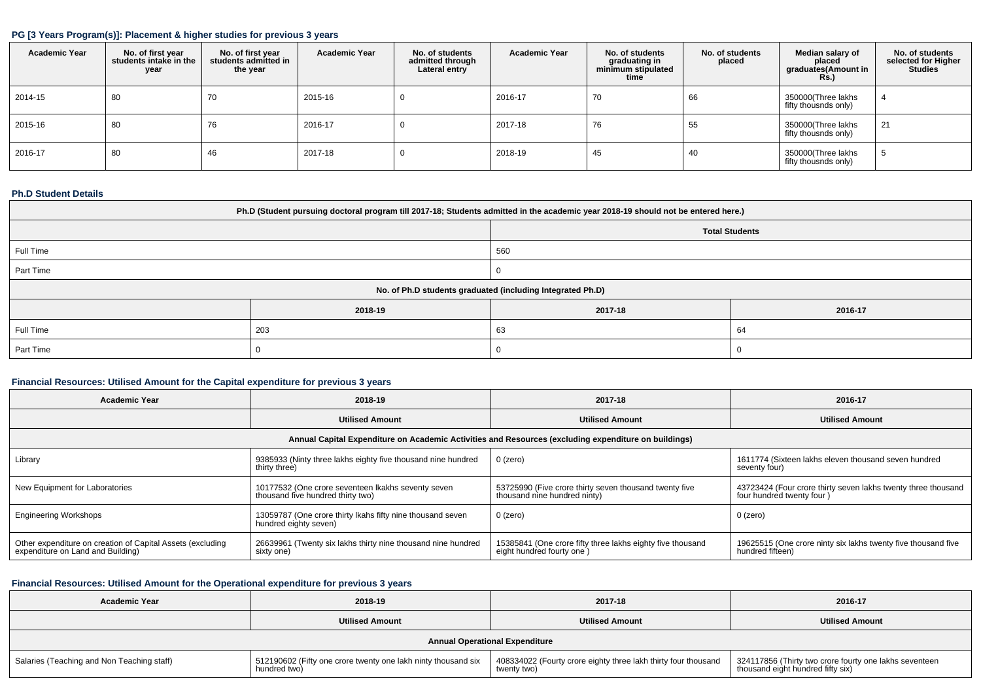### **PG [3 Years Program(s)]: Placement & higher studies for previous 3 years**

| <b>Academic Year</b> | No. of first year<br>students intake in the<br>year | No. of first year<br>students admitted in<br>the year | <b>Academic Year</b> | No. of students<br>admitted through<br>Lateral entry | <b>Academic Year</b> | No. of students<br>graduating in<br>minimum stipulated<br>time | No. of students<br>placed | Median salary of<br>placed<br>graduates(Amount in<br>Rs.) | No. of students<br>selected for Higher<br><b>Studies</b> |
|----------------------|-----------------------------------------------------|-------------------------------------------------------|----------------------|------------------------------------------------------|----------------------|----------------------------------------------------------------|---------------------------|-----------------------------------------------------------|----------------------------------------------------------|
| 2014-15              | 80                                                  | 70                                                    | 2015-16              | υ                                                    | 2016-17              | 70                                                             | 66                        | 350000(Three lakhs<br>fifty thousnds only)                |                                                          |
| 2015-16              | 80                                                  | 76                                                    | 2016-17              |                                                      | 2017-18              | 76                                                             | 55                        | 350000(Three lakhs<br>fifty thousnds only)                | 21                                                       |
| 2016-17              | 80                                                  | 46                                                    | 2017-18              | υ                                                    | 2018-19              | 45                                                             | 40                        | 350000(Three lakhs<br>fifty thousnds only)                |                                                          |

### **Ph.D Student Details**

| Ph.D (Student pursuing doctoral program till 2017-18; Students admitted in the academic year 2018-19 should not be entered here.) |         |                                                            |         |  |  |  |  |  |
|-----------------------------------------------------------------------------------------------------------------------------------|---------|------------------------------------------------------------|---------|--|--|--|--|--|
| <b>Total Students</b>                                                                                                             |         |                                                            |         |  |  |  |  |  |
| Full Time                                                                                                                         |         | 560                                                        |         |  |  |  |  |  |
| Part Time                                                                                                                         |         |                                                            |         |  |  |  |  |  |
|                                                                                                                                   |         | No. of Ph.D students graduated (including Integrated Ph.D) |         |  |  |  |  |  |
|                                                                                                                                   | 2018-19 | 2017-18                                                    | 2016-17 |  |  |  |  |  |
| Full Time                                                                                                                         | 203     | 63<br>64                                                   |         |  |  |  |  |  |
| Part Time                                                                                                                         |         |                                                            |         |  |  |  |  |  |

# **Financial Resources: Utilised Amount for the Capital expenditure for previous 3 years**

| <b>Academic Year</b>                                                                                 | 2018-19                                                                                 | 2017-18                                                                                 | 2016-17                                                                                    |  |  |  |  |  |
|------------------------------------------------------------------------------------------------------|-----------------------------------------------------------------------------------------|-----------------------------------------------------------------------------------------|--------------------------------------------------------------------------------------------|--|--|--|--|--|
|                                                                                                      | <b>Utilised Amount</b>                                                                  | <b>Utilised Amount</b>                                                                  | <b>Utilised Amount</b>                                                                     |  |  |  |  |  |
| Annual Capital Expenditure on Academic Activities and Resources (excluding expenditure on buildings) |                                                                                         |                                                                                         |                                                                                            |  |  |  |  |  |
| Library                                                                                              | 9385933 (Ninty three lakhs eighty five thousand nine hundred<br>thirty three)           | $0$ (zero)                                                                              | 1611774 (Sixteen lakhs eleven thousand seven hundred<br>seventy four)                      |  |  |  |  |  |
| New Equipment for Laboratories                                                                       | 10177532 (One crore seventeen Ikakhs seventy seven<br>thousand five hundred thirty two) | 53725990 (Five crore thirty seven thousand twenty five<br>thousand nine hundred ninty)  | 43723424 (Four crore thirty seven lakhs twenty three thousand<br>four hundred twenty four) |  |  |  |  |  |
| <b>Engineering Workshops</b>                                                                         | 13059787 (One crore thirty Ikahs fifty nine thousand seven<br>hundred eighty seven)     | 0 (zero)                                                                                | $0$ (zero)                                                                                 |  |  |  |  |  |
| Other expenditure on creation of Capital Assets (excluding<br>expenditure on Land and Building)      | 26639961 (Twenty six lakhs thirty nine thousand nine hundred<br>sixty one)              | 15385841 (One crore fifty three lakhs eighty five thousand<br>eight hundred fourty one) | 19625515 (One crore ninty six lakhs twenty five thousand five<br>hundred fifteen)          |  |  |  |  |  |

# **Financial Resources: Utilised Amount for the Operational expenditure for previous 3 years**

| <b>Academic Year</b>                       | 2018-19                                                                       | 2017-18                                                                       | 2016-17                                                                                     |  |  |  |  |  |  |
|--------------------------------------------|-------------------------------------------------------------------------------|-------------------------------------------------------------------------------|---------------------------------------------------------------------------------------------|--|--|--|--|--|--|
|                                            | <b>Utilised Amount</b>                                                        | <b>Utilised Amount</b>                                                        | <b>Utilised Amount</b>                                                                      |  |  |  |  |  |  |
|                                            | <b>Annual Operational Expenditure</b>                                         |                                                                               |                                                                                             |  |  |  |  |  |  |
| Salaries (Teaching and Non Teaching staff) | 512190602 (Fifty one crore twenty one lakh ninty thousand six<br>hundred two) | 408334022 (Fourty crore eighty three lakh thirty four thousand<br>twenty two) | 324117856 (Thirty two crore fourty one lakhs seventeen<br>thousand eight hundred fifty six) |  |  |  |  |  |  |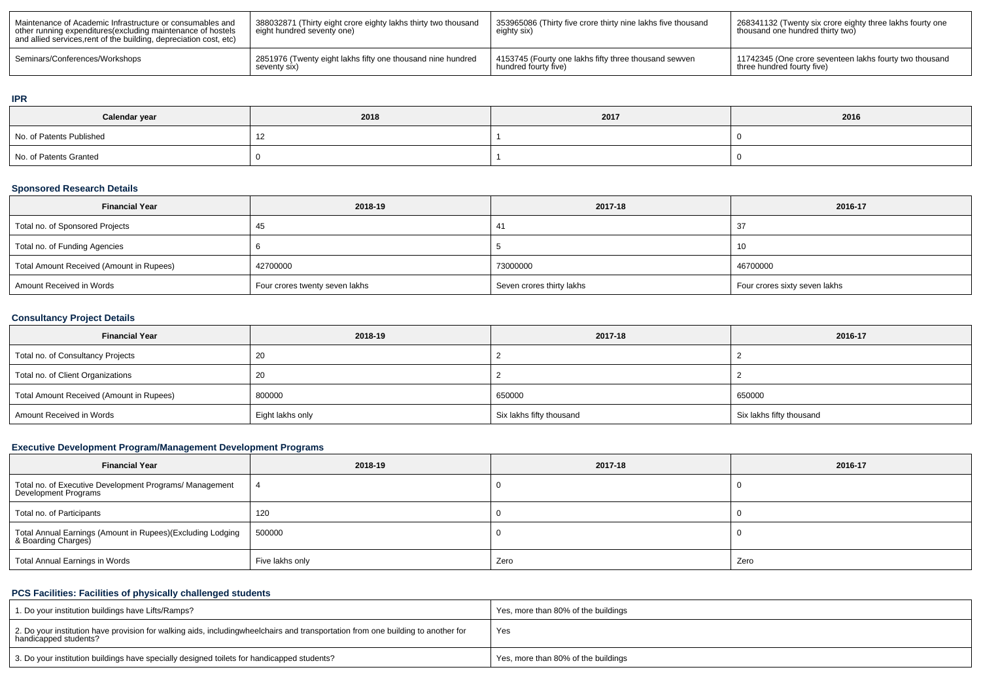| Maintenance of Academic Infrastructure or consumables and<br>other running expenditures (excluding maintenance of hostels<br>and allied services, rent of the building, depreciation cost, etc) | 388032871 (Thirty eight crore eighty lakhs thirty two thousand<br>eight hundred seventy one) | 353965086 (Thirty five crore thirty nine lakhs five thousand<br>eighty six) | 268341132 (Twenty six crore eighty three lakhs fourty one<br>thousand one hundred thirty two) |
|-------------------------------------------------------------------------------------------------------------------------------------------------------------------------------------------------|----------------------------------------------------------------------------------------------|-----------------------------------------------------------------------------|-----------------------------------------------------------------------------------------------|
| Seminars/Conferences/Workshops                                                                                                                                                                  | 2851976 (Twenty eight lakhs fifty one thousand nine hundred                                  | 4153745 (Fourty one lakhs fifty three thousand sewven                       | 11742345 (One crore seventeen lakhs fourty two thousand                                       |
|                                                                                                                                                                                                 | seventy six)                                                                                 | hundred fourty five)                                                        | three hundred fourty five)                                                                    |

#### **IPR**

| Calendar year            | 2018 | 2017 | 2016 |
|--------------------------|------|------|------|
| No. of Patents Published |      |      |      |
| No. of Patents Granted   |      |      |      |

### **Sponsored Research Details**

| <b>Financial Year</b>                    | 2018-19                        | 2017-18                   | 2016-17                       |
|------------------------------------------|--------------------------------|---------------------------|-------------------------------|
| Total no. of Sponsored Projects          |                                |                           | ູບ                            |
| Total no. of Funding Agencies            |                                |                           | 10                            |
| Total Amount Received (Amount in Rupees) | 42700000                       | 73000000                  | 46700000                      |
| Amount Received in Words                 | Four crores twenty seven lakhs | Seven crores thirty lakhs | Four crores sixty seven lakhs |

# **Consultancy Project Details**

| <b>Financial Year</b>                    | 2018-19          | 2017-18                  | 2016-17                  |
|------------------------------------------|------------------|--------------------------|--------------------------|
| Total no. of Consultancy Projects        |                  |                          |                          |
| Total no. of Client Organizations        | -20              |                          |                          |
| Total Amount Received (Amount in Rupees) | 800000           | 650000                   | 650000                   |
| Amount Received in Words                 | Eight lakhs only | Six lakhs fifty thousand | Six lakhs fifty thousand |

# **Executive Development Program/Management Development Programs**

| <b>Financial Year</b>                                                            | 2018-19         | 2017-18 | 2016-17 |
|----------------------------------------------------------------------------------|-----------------|---------|---------|
| Total no. of Executive Development Programs/ Management<br>Development Programs  |                 |         |         |
| Total no. of Participants                                                        | 120             |         |         |
| Total Annual Earnings (Amount in Rupees)(Excluding Lodging<br>& Boarding Charges | 500000          |         |         |
| Total Annual Earnings in Words                                                   | Five lakhs only | Zero    | Zero    |

# **PCS Facilities: Facilities of physically challenged students**

| 1. Do your institution buildings have Lifts/Ramps?                                                                                                        | Yes, more than 80% of the buildings |
|-----------------------------------------------------------------------------------------------------------------------------------------------------------|-------------------------------------|
| 2. Do your institution have provision for walking aids, includingwheelchairs and transportation from one building to another for<br>handicapped students? | Yes                                 |
| 3. Do your institution buildings have specially designed toilets for handicapped students?                                                                | Yes, more than 80% of the buildings |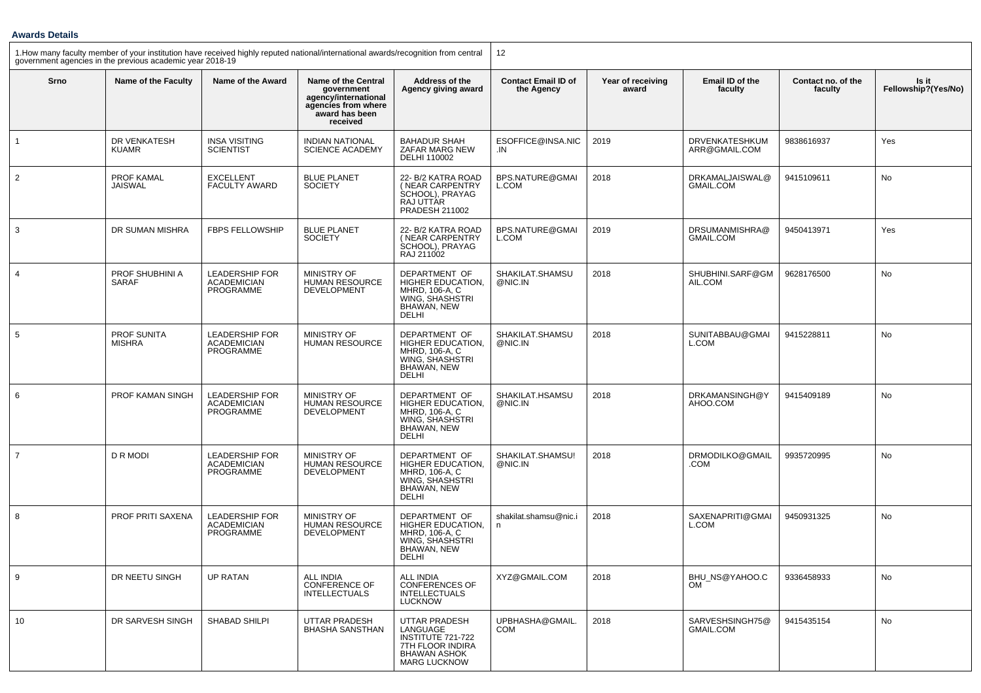### **Awards Details**

1.How many faculty member of your institution have received highly reputed national/international awards/recognition from central  $\;\mid\;$  12

| government agencies in the previous academic year 2018-19 |                                     |                                                                 |                                                                                                                       |                                                                                                                  |                                          |                            |                                     |                               |                              |
|-----------------------------------------------------------|-------------------------------------|-----------------------------------------------------------------|-----------------------------------------------------------------------------------------------------------------------|------------------------------------------------------------------------------------------------------------------|------------------------------------------|----------------------------|-------------------------------------|-------------------------------|------------------------------|
| Srno                                                      | Name of the Faculty                 | Name of the Award                                               | <b>Name of the Central</b><br>government<br>agency/international<br>agencies from where<br>award has been<br>received | Address of the<br>Agency giving award                                                                            | <b>Contact Email ID of</b><br>the Agency | Year of receiving<br>award | Email ID of the<br>faculty          | Contact no. of the<br>faculty | Is it<br>Fellowship?(Yes/No) |
| $\mathbf{1}$                                              | DR VENKATESH<br><b>KUAMR</b>        | <b>INSA VISITING</b><br><b>SCIENTIST</b>                        | <b>INDIAN NATIONAL</b><br><b>SCIENCE ACADEMY</b>                                                                      | <b>BAHADUR SHAH</b><br>ZAFAR MARG NEW<br>DELHI 110002                                                            | ESOFFICE@INSA.NIC<br>.IN                 | 2019                       | DRVENKATESHKUM<br>ARR@GMAIL.COM     | 9838616937                    | Yes                          |
| $\overline{2}$                                            | PROF KAMAL<br><b>JAISWAL</b>        | <b>EXCELLENT</b><br><b>FACULTY AWARD</b>                        | <b>BLUE PLANET</b><br><b>SOCIETY</b>                                                                                  | 22- B/2 KATRA ROAD<br>(NEAR CARPENTRY<br>SCHOOL), PRAYAG<br>RAJ UTTÁR<br>PRADESH 211002                          | BPS.NATURE@GMAI<br>L.COM                 | 2018                       | DRKAMALJAISWAL@<br><b>GMAIL.COM</b> | 9415109611                    | No                           |
| 3                                                         | DR SUMAN MISHRA                     | <b>FBPS FELLOWSHIP</b>                                          | <b>BLUE PLANET</b><br><b>SOCIETY</b>                                                                                  | 22- B/2 KATRA ROAD<br>(NEAR CARPENTRY<br>SCHOOL), PRAYAG<br>RAJ 211002                                           | BPS.NATURE@GMAI<br>L.COM                 | 2019                       | DRSUMANMISHRA@<br><b>GMAIL.COM</b>  | 9450413971                    | Yes                          |
| $\overline{4}$                                            | PROF SHUBHINI A<br>SARAF            | <b>LEADERSHIP FOR</b><br><b>ACADEMICIAN</b><br><b>PROGRAMME</b> | MINISTRY OF<br><b>HUMAN RESOURCE</b><br><b>DEVELOPMENT</b>                                                            | DEPARTMENT OF<br>HIGHER EDUCATION,<br>MHRD, 106-A, C<br>WING, SHASHSTRI<br>BHAWAN, NEW<br>DELHI                  | SHAKILAT.SHAMSU<br>@NIC.IN               | 2018                       | SHUBHINI.SARF@GM<br>AIL.COM         | 9628176500                    | <b>No</b>                    |
| 5                                                         | <b>PROF SUNITA</b><br><b>MISHRA</b> | <b>LEADERSHIP FOR</b><br><b>ACADEMICIAN</b><br>PROGRAMME        | MINISTRY OF<br><b>HUMAN RESOURCE</b>                                                                                  | DEPARTMENT OF<br>HIGHER EDUCATION,<br>MHRD, 106-A, C<br>WING. SHASHSTRI<br>BHAWAN, NEW<br><b>DELHI</b>           | SHAKILAT.SHAMSU<br>@NIC.IN               | 2018                       | SUNITABBAU@GMAI<br>L.COM            | 9415228811                    | No                           |
| 6                                                         | PROF KAMAN SINGH                    | LEADERSHIP FOR<br><b>ACADEMICIAN</b><br>PROGRAMME               | MINISTRY OF<br><b>HUMAN RESOURCE</b><br>DEVELOPMENT                                                                   | DEPARTMENT OF<br>HIGHER EDUCATION,<br>MHRD, 106-A, C<br>WING, SHASHSTRI<br>BHAWAN, NEW<br>DELHI                  | SHAKILAT.HSAMSU<br>@NIC.IN               | 2018                       | DRKAMANSINGH@Y<br>AHOO.COM          | 9415409189                    | No                           |
| $\overline{7}$                                            | <b>D R MODI</b>                     | <b>LEADERSHIP FOR</b><br><b>ACADEMICIAN</b><br>PROGRAMME        | <b>MINISTRY OF</b><br><b>HUMAN RESOURCE</b><br><b>DEVELOPMENT</b>                                                     | DEPARTMENT OF<br>HIGHER EDUCATION,<br>MHRD, 106-A, C<br>WING, SHASHSTRI<br>BHAWAN, NEW<br><b>DELHI</b>           | SHAKILAT.SHAMSU!<br>@NIC.IN              | 2018                       | DRMODILKO@GMAIL<br>.COM             | 9935720995                    | <b>No</b>                    |
| 8                                                         | PROF PRITI SAXENA                   | <b>LEADERSHIP FOR</b><br><b>ACADEMICIAN</b><br>PROGRAMME        | MINISTRY OF<br>HUMAN RESOURCE<br>DEVELOPMENT                                                                          | DEPARTMENT OF<br>HIGHER EDUCATION.<br>MHRD, 106-A, C<br>WING. SHASHSTRI<br>BHAWAN, NEW<br>DELHI                  | shakilat.shamsu@nic.i<br>n               | 2018                       | SAXENAPRITI@GMAI<br>L.COM           | 9450931325                    | No                           |
| 9                                                         | DR NEETU SINGH                      | <b>UP RATAN</b>                                                 | <b>ALL INDIA</b><br><b>CONFERENCE OF</b><br><b>INTELLECTUALS</b>                                                      | <b>ALL INDIA</b><br><b>CONFERENCES OF</b><br><b>INTELLECTUALS</b><br><b>LUCKNOW</b>                              | XYZ@GMAIL.COM                            | 2018                       | BHU NS@YAHOO.C<br><b>OM</b>         | 9336458933                    | No                           |
| 10                                                        | DR SARVESH SINGH                    | SHABAD SHILPI                                                   | <b>UTTAR PRADESH</b><br><b>BHASHA SANSTHAN</b>                                                                        | UTTAR PRADESH<br>LANGUAGE<br>INSTITUTE 721-722<br>7TH FLOOR INDIRA<br><b>BHAWAN ASHOK</b><br><b>MARG LUCKNOW</b> | UPBHASHA@GMAIL.<br><b>COM</b>            | 2018                       | SARVESHSINGH75@<br><b>GMAIL.COM</b> | 9415435154                    | No                           |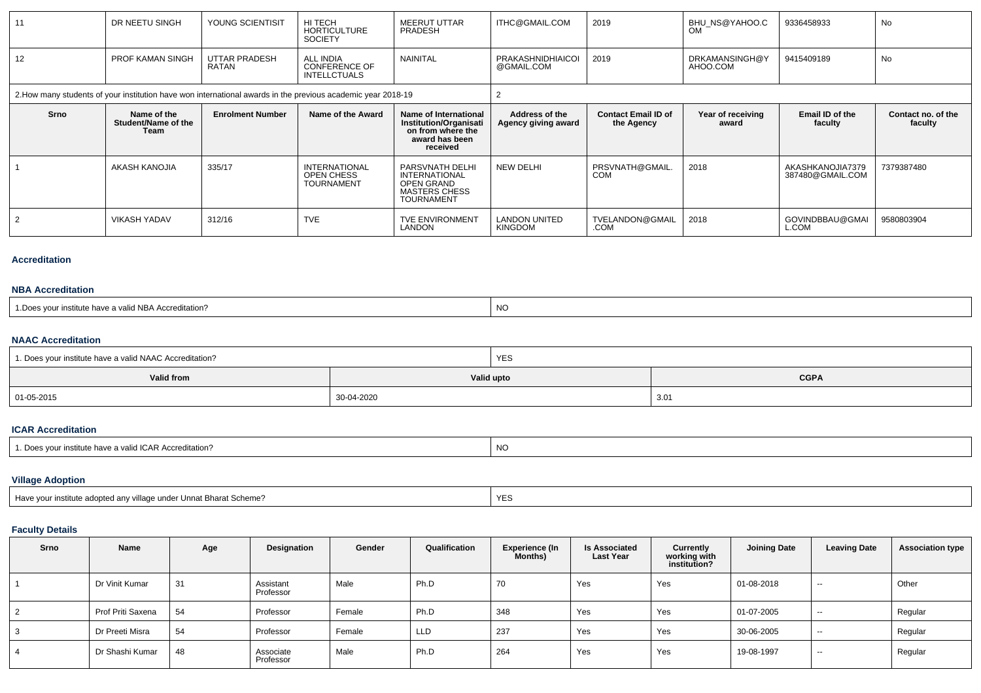| 11                                                                                                           | DR NEETU SINGH                             | YOUNG SCIENTISIT        | HI TECH<br><b>HORTICULTURE</b><br><b>SOCIETY</b>                | <b>MEERUT UTTAR</b><br>PRADESH                                                                     | ITHC@GMAIL.COM                         | 2019                                     | BHU NS@YAHOO.C<br><b>OM</b> | 9336458933                           | No                            |
|--------------------------------------------------------------------------------------------------------------|--------------------------------------------|-------------------------|-----------------------------------------------------------------|----------------------------------------------------------------------------------------------------|----------------------------------------|------------------------------------------|-----------------------------|--------------------------------------|-------------------------------|
| 12                                                                                                           | <b>PROF KAMAN SINGH</b>                    | UTTAR PRADESH<br>RATAN  | <b>ALL INDIA</b><br><b>CONFERENCE OF</b><br><b>INTELLCTUALS</b> | <b>NAINITAL</b>                                                                                    | <b>PRAKASHNIDHIAICOI</b><br>@GMAIL.COM | 2019                                     | DRKAMANSINGH@Y<br>AHOO.COM  | 9415409189                           | No                            |
| 2. How many students of your institution have won international awards in the previous academic year 2018-19 |                                            |                         |                                                                 |                                                                                                    |                                        |                                          |                             |                                      |                               |
| Srno                                                                                                         | Name of the<br>Student/Name of the<br>Team | <b>Enrolment Number</b> | Name of the Award                                               | Name of International<br>Institution/Organisati<br>on from where the<br>award has been<br>received | Address of the<br>Agency giving award  | <b>Contact Email ID of</b><br>the Agency | Year of receiving<br>award  | Email ID of the<br>faculty           | Contact no. of the<br>faculty |
|                                                                                                              | AKASH KANOJIA                              | 335/17                  | <b>INTERNATIONAL</b><br>OPEN CHESS<br><b>TOURNAMENT</b>         | PARSVNATH DELHI<br><b>INTERNATIONAL</b><br>OPEN GRAND<br><b>MASTERS CHESS</b><br><b>TOURNAMENT</b> | <b>NEW DELHI</b>                       | PRSVNATH@GMAIL.<br><b>COM</b>            | 2018                        | AKASHKANOJIA7379<br>387480@GMAIL.COM | 7379387480                    |
|                                                                                                              | <b>VIKASH YADAV</b>                        | 312/16                  | <b>TVE</b>                                                      | <b>TVE ENVIRONMENT</b><br>LANDON                                                                   | <b>LANDON UNITED</b><br><b>KINGDOM</b> | TVELANDON@GMAIL<br>.COM                  | 2018                        | GOVINDBBAU@GMAI<br>L.COM             | 9580803904                    |

#### **Accreditation**

#### **NBA Accreditation**

| <b>NO</b><br>a have a valid NBA Accreditation.<br>vour institute<br>1.Does |  |
|----------------------------------------------------------------------------|--|
|----------------------------------------------------------------------------|--|

### **NAAC Accreditation**

| 1. Does your institute have a valid NAAC Accreditation? |            | YES |             |
|---------------------------------------------------------|------------|-----|-------------|
| Valid from                                              | Valid upto |     | <b>CGPA</b> |
| 01-05-2015                                              | 30-04-2020 |     | 3.01        |

### **ICAR Accreditation**

| $\mathbf{A} \mathbf{D}$<br><b>ICAR Accreditation?</b><br>$\mathbf{a}$<br>institute have<br>ı valid | <b>NO</b> |
|----------------------------------------------------------------------------------------------------|-----------|
|----------------------------------------------------------------------------------------------------|-----------|

# **Village Adoption**

| r institute adopted any village under Unnat Bharat Scheme?<br>Have vour |  |
|-------------------------------------------------------------------------|--|
|-------------------------------------------------------------------------|--|

# **Faculty Details**

| Srno | Name              | Age | Designation            | Gender | Qualification | <b>Experience (In</b><br>Months) | <b>Is Associated</b><br><b>Last Year</b> | Currently<br>working with<br>institution? | <b>Joining Date</b> | <b>Leaving Date</b> | <b>Association type</b> |
|------|-------------------|-----|------------------------|--------|---------------|----------------------------------|------------------------------------------|-------------------------------------------|---------------------|---------------------|-------------------------|
|      | Dr Vinit Kumar    | 31  | Assistant<br>Professor | Male   | Ph.D          | 70                               | Yes                                      | Yes                                       | 01-08-2018          | $\sim$              | Other                   |
| 2    | Prof Priti Saxena | 54  | Professor              | Female | Ph.D          | 348                              | Yes                                      | Yes                                       | 01-07-2005          | $\sim$              | Regular                 |
| 3    | Dr Preeti Misra   | 54  | Professor              | Female | <b>LLD</b>    | 237                              | Yes                                      | Yes                                       | 30-06-2005          | --                  | Regular                 |
| 4    | Dr Shashi Kumar   | 48  | Associate<br>Professor | Male   | Ph.D          | 264                              | Yes                                      | Yes                                       | 19-08-1997          | $- -$               | Regular                 |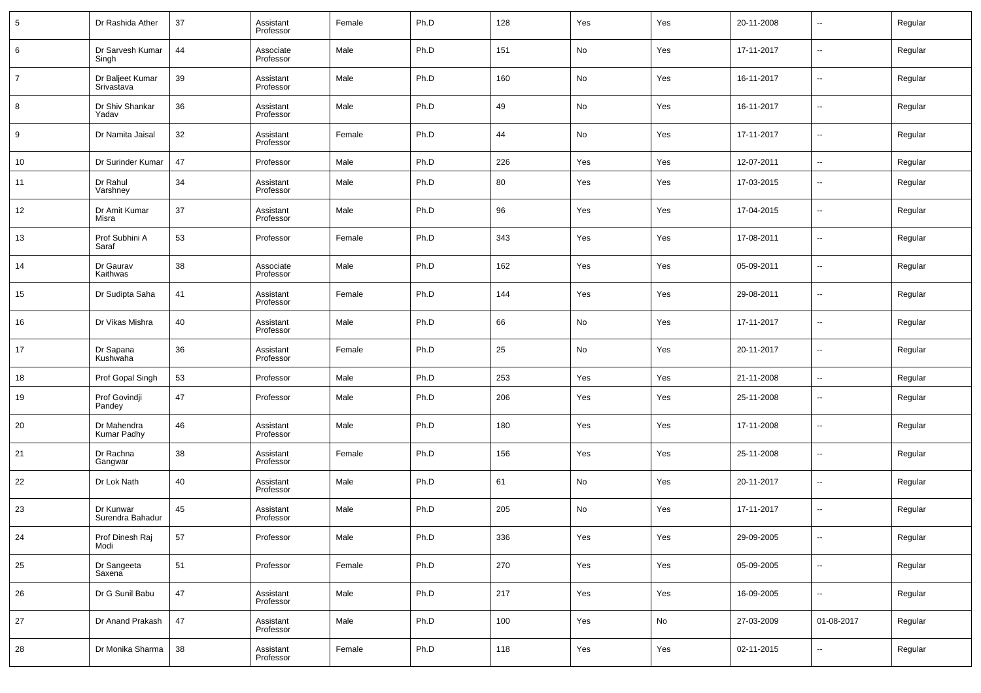| 5  | Dr Rashida Ather               | 37 | Assistant<br>Professor | Female | Ph.D | 128 | Yes | Yes | 20-11-2008 | $\overline{\phantom{a}}$ | Regular |
|----|--------------------------------|----|------------------------|--------|------|-----|-----|-----|------------|--------------------------|---------|
| 6  | Dr Sarvesh Kumar<br>Singh      | 44 | Associate<br>Professor | Male   | Ph.D | 151 | No  | Yes | 17-11-2017 | $\overline{\phantom{a}}$ | Regular |
| 7  | Dr Baljeet Kumar<br>Srivastava | 39 | Assistant<br>Professor | Male   | Ph.D | 160 | No  | Yes | 16-11-2017 | $\overline{\phantom{a}}$ | Regular |
| 8  | Dr Shiv Shankar<br>Yadav       | 36 | Assistant<br>Professor | Male   | Ph.D | 49  | No  | Yes | 16-11-2017 | $\overline{\phantom{a}}$ | Regular |
| 9  | Dr Namita Jaisal               | 32 | Assistant<br>Professor | Female | Ph.D | 44  | No  | Yes | 17-11-2017 | $\overline{\phantom{a}}$ | Regular |
| 10 | Dr Surinder Kumar              | 47 | Professor              | Male   | Ph.D | 226 | Yes | Yes | 12-07-2011 | $\overline{\phantom{a}}$ | Regular |
| 11 | Dr Rahul<br>Varshney           | 34 | Assistant<br>Professor | Male   | Ph.D | 80  | Yes | Yes | 17-03-2015 | $\overline{\phantom{a}}$ | Regular |
| 12 | Dr Amit Kumar<br>Misra         | 37 | Assistant<br>Professor | Male   | Ph.D | 96  | Yes | Yes | 17-04-2015 | $\overline{\phantom{a}}$ | Regular |
| 13 | Prof Subhini A<br>Saraf        | 53 | Professor              | Female | Ph.D | 343 | Yes | Yes | 17-08-2011 | $\overline{\phantom{a}}$ | Regular |
| 14 | Dr Gaurav<br>Kaithwas          | 38 | Associate<br>Professor | Male   | Ph.D | 162 | Yes | Yes | 05-09-2011 | $\overline{\phantom{a}}$ | Regular |
| 15 | Dr Sudipta Saha                | 41 | Assistant<br>Professor | Female | Ph.D | 144 | Yes | Yes | 29-08-2011 | $\overline{\phantom{a}}$ | Regular |
| 16 | Dr Vikas Mishra                | 40 | Assistant<br>Professor | Male   | Ph.D | 66  | No  | Yes | 17-11-2017 | $\overline{\phantom{a}}$ | Regular |
| 17 | Dr Sapana<br>Kushwaha          | 36 | Assistant<br>Professor | Female | Ph.D | 25  | No  | Yes | 20-11-2017 | $\overline{\phantom{a}}$ | Regular |
| 18 | Prof Gopal Singh               | 53 | Professor              | Male   | Ph.D | 253 | Yes | Yes | 21-11-2008 | $\overline{\phantom{a}}$ | Regular |
| 19 | Prof Govindji<br>Pandey        | 47 | Professor              | Male   | Ph.D | 206 | Yes | Yes | 25-11-2008 | $\sim$                   | Regular |
| 20 | Dr Mahendra<br>Kumar Padhy     | 46 | Assistant<br>Professor | Male   | Ph.D | 180 | Yes | Yes | 17-11-2008 | $\overline{\phantom{a}}$ | Regular |
| 21 | Dr Rachna<br>Gangwar           | 38 | Assistant<br>Professor | Female | Ph.D | 156 | Yes | Yes | 25-11-2008 | $\overline{\phantom{a}}$ | Regular |
| 22 | Dr Lok Nath                    | 40 | Assistant<br>Professor | Male   | Ph.D | 61  | No  | Yes | 20-11-2017 | $\sim$                   | Regular |
| 23 | Dr Kunwar<br>Surendra Bahadur  | 45 | Assistant<br>Professor | Male   | Ph.D | 205 | No  | Yes | 17-11-2017 | $\overline{\phantom{a}}$ | Regular |
| 24 | Prof Dinesh Raj<br>Modi        | 57 | Professor              | Male   | Ph.D | 336 | Yes | Yes | 29-09-2005 | ۰.                       | Regular |
| 25 | Dr Sangeeta<br>Saxena          | 51 | Professor              | Female | Ph.D | 270 | Yes | Yes | 05-09-2005 | $\overline{\phantom{a}}$ | Regular |
| 26 | Dr G Sunil Babu                | 47 | Assistant<br>Professor | Male   | Ph.D | 217 | Yes | Yes | 16-09-2005 | $\overline{\phantom{a}}$ | Regular |
| 27 | Dr Anand Prakash               | 47 | Assistant<br>Professor | Male   | Ph.D | 100 | Yes | No  | 27-03-2009 | 01-08-2017               | Regular |
| 28 | Dr Monika Sharma               | 38 | Assistant<br>Professor | Female | Ph.D | 118 | Yes | Yes | 02-11-2015 | ۰.                       | Regular |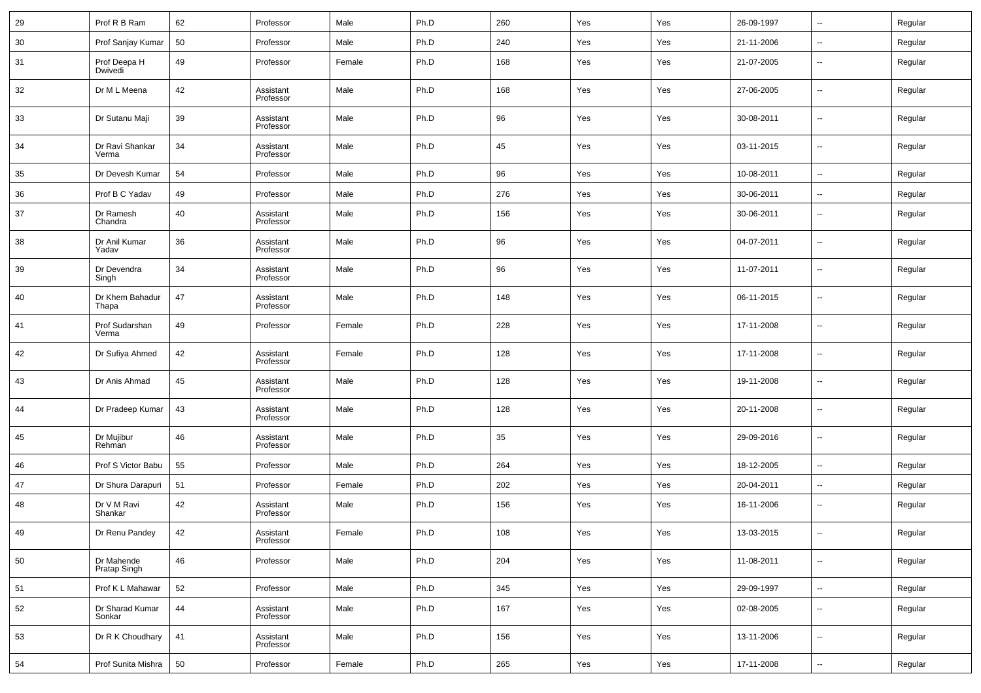| 29     | Prof R B Ram               | 62 | Professor              | Male   | Ph.D | 260 | Yes | Yes | 26-09-1997 | $\ddotsc$                | Regular |
|--------|----------------------------|----|------------------------|--------|------|-----|-----|-----|------------|--------------------------|---------|
| $30\,$ | Prof Sanjay Kumar          | 50 | Professor              | Male   | Ph.D | 240 | Yes | Yes | 21-11-2006 | ۰.                       | Regular |
| 31     | Prof Deepa H<br>Dwivedi    | 49 | Professor              | Female | Ph.D | 168 | Yes | Yes | 21-07-2005 | $\ddotsc$                | Regular |
| 32     | Dr M L Meena               | 42 | Assistant<br>Professor | Male   | Ph.D | 168 | Yes | Yes | 27-06-2005 | $\overline{\phantom{a}}$ | Regular |
| 33     | Dr Sutanu Maji             | 39 | Assistant<br>Professor | Male   | Ph.D | 96  | Yes | Yes | 30-08-2011 | $\overline{\phantom{a}}$ | Regular |
| 34     | Dr Ravi Shankar<br>Verma   | 34 | Assistant<br>Professor | Male   | Ph.D | 45  | Yes | Yes | 03-11-2015 | $\overline{\phantom{a}}$ | Regular |
| 35     | Dr Devesh Kumar            | 54 | Professor              | Male   | Ph.D | 96  | Yes | Yes | 10-08-2011 | $\ddotsc$                | Regular |
| 36     | Prof B C Yadav             | 49 | Professor              | Male   | Ph.D | 276 | Yes | Yes | 30-06-2011 | $\overline{\phantom{a}}$ | Regular |
| 37     | Dr Ramesh<br>Chandra       | 40 | Assistant<br>Professor | Male   | Ph.D | 156 | Yes | Yes | 30-06-2011 | $\overline{\phantom{a}}$ | Regular |
| $38\,$ | Dr Anil Kumar<br>Yadav     | 36 | Assistant<br>Professor | Male   | Ph.D | 96  | Yes | Yes | 04-07-2011 | $\ddotsc$                | Regular |
| 39     | Dr Devendra<br>Singh       | 34 | Assistant<br>Professor | Male   | Ph.D | 96  | Yes | Yes | 11-07-2011 | $\overline{\phantom{a}}$ | Regular |
| 40     | Dr Khem Bahadur<br>Thapa   | 47 | Assistant<br>Professor | Male   | Ph.D | 148 | Yes | Yes | 06-11-2015 | ۰.                       | Regular |
| 41     | Prof Sudarshan<br>Verma    | 49 | Professor              | Female | Ph.D | 228 | Yes | Yes | 17-11-2008 | $\overline{\phantom{a}}$ | Regular |
| 42     | Dr Sufiya Ahmed            | 42 | Assistant<br>Professor | Female | Ph.D | 128 | Yes | Yes | 17-11-2008 | $\overline{\phantom{a}}$ | Regular |
| 43     | Dr Anis Ahmad              | 45 | Assistant<br>Professor | Male   | Ph.D | 128 | Yes | Yes | 19-11-2008 | $\overline{\phantom{a}}$ | Regular |
| 44     | Dr Pradeep Kumar           | 43 | Assistant<br>Professor | Male   | Ph.D | 128 | Yes | Yes | 20-11-2008 | $\overline{\phantom{a}}$ | Regular |
| 45     | Dr Mujibur<br>Rehman       | 46 | Assistant<br>Professor | Male   | Ph.D | 35  | Yes | Yes | 29-09-2016 | ۰.                       | Regular |
| 46     | Prof S Victor Babu         | 55 | Professor              | Male   | Ph.D | 264 | Yes | Yes | 18-12-2005 | $\overline{\phantom{a}}$ | Regular |
| 47     | Dr Shura Darapuri          | 51 | Professor              | Female | Ph.D | 202 | Yes | Yes | 20-04-2011 | $\overline{\phantom{a}}$ | Regular |
| 48     | Dr V M Ravi<br>Shankar     | 42 | Assistant<br>Professor | Male   | Ph.D | 156 | Yes | Yes | 16-11-2006 | $\overline{\phantom{a}}$ | Regular |
| 49     | Dr Renu Pandey             | 42 | Assistant<br>Professor | Female | Ph.D | 108 | Yes | Yes | 13-03-2015 | $\overline{\phantom{a}}$ | Regular |
| 50     | Dr Mahende<br>Pratap Singh | 46 | Professor              | Male   | Ph.D | 204 | Yes | Yes | 11-08-2011 | $\overline{\phantom{a}}$ | Regular |
| 51     | Prof K L Mahawar           | 52 | Professor              | Male   | Ph.D | 345 | Yes | Yes | 29-09-1997 | $\overline{\phantom{a}}$ | Regular |
| 52     | Dr Sharad Kumar<br>Sonkar  | 44 | Assistant<br>Professor | Male   | Ph.D | 167 | Yes | Yes | 02-08-2005 | $\overline{\phantom{a}}$ | Regular |
| 53     | Dr R K Choudhary           | 41 | Assistant<br>Professor | Male   | Ph.D | 156 | Yes | Yes | 13-11-2006 | ۰.                       | Regular |
| 54     | Prof Sunita Mishra         | 50 | Professor              | Female | Ph.D | 265 | Yes | Yes | 17-11-2008 | н.                       | Regular |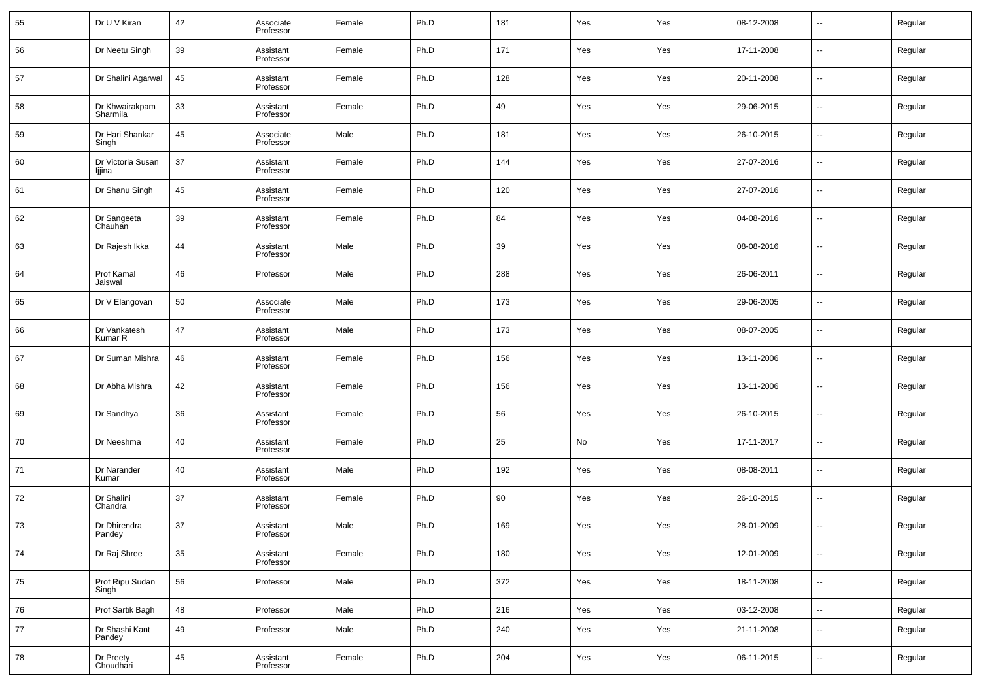| 55 | Dr U V Kiran                | 42 | Associate<br>Professor | Female | Ph.D | 181 | Yes | Yes | 08-12-2008 | $\overline{\phantom{a}}$ | Regular |
|----|-----------------------------|----|------------------------|--------|------|-----|-----|-----|------------|--------------------------|---------|
| 56 | Dr Neetu Singh              | 39 | Assistant<br>Professor | Female | Ph.D | 171 | Yes | Yes | 17-11-2008 | --                       | Regular |
| 57 | Dr Shalini Agarwal          | 45 | Assistant<br>Professor | Female | Ph.D | 128 | Yes | Yes | 20-11-2008 | ш.                       | Regular |
| 58 | Dr Khwairakpam<br>Sharmila  | 33 | Assistant<br>Professor | Female | Ph.D | 49  | Yes | Yes | 29-06-2015 | ш.                       | Regular |
| 59 | Dr Hari Shankar<br>Singh    | 45 | Associate<br>Professor | Male   | Ph.D | 181 | Yes | Yes | 26-10-2015 | ш.                       | Regular |
| 60 | Dr Victoria Susan<br>ljjina | 37 | Assistant<br>Professor | Female | Ph.D | 144 | Yes | Yes | 27-07-2016 | ш.                       | Regular |
| 61 | Dr Shanu Singh              | 45 | Assistant<br>Professor | Female | Ph.D | 120 | Yes | Yes | 27-07-2016 | ш.                       | Regular |
| 62 | Dr Sangeeta<br>Chauhan      | 39 | Assistant<br>Professor | Female | Ph.D | 84  | Yes | Yes | 04-08-2016 | ш.                       | Regular |
| 63 | Dr Rajesh Ikka              | 44 | Assistant<br>Professor | Male   | Ph.D | 39  | Yes | Yes | 08-08-2016 | ш.                       | Regular |
| 64 | Prof Kamal<br>Jaiswal       | 46 | Professor              | Male   | Ph.D | 288 | Yes | Yes | 26-06-2011 | ш.                       | Regular |
| 65 | Dr V Elangovan              | 50 | Associate<br>Professor | Male   | Ph.D | 173 | Yes | Yes | 29-06-2005 | --                       | Regular |
| 66 | Dr Vankatesh<br>Kumar R     | 47 | Assistant<br>Professor | Male   | Ph.D | 173 | Yes | Yes | 08-07-2005 | ш.                       | Regular |
| 67 | Dr Suman Mishra             | 46 | Assistant<br>Professor | Female | Ph.D | 156 | Yes | Yes | 13-11-2006 | --                       | Regular |
| 68 | Dr Abha Mishra              | 42 | Assistant<br>Professor | Female | Ph.D | 156 | Yes | Yes | 13-11-2006 | ш.                       | Regular |
| 69 | Dr Sandhya                  | 36 | Assistant<br>Professor | Female | Ph.D | 56  | Yes | Yes | 26-10-2015 | ш.                       | Regular |
| 70 | Dr Neeshma                  | 40 | Assistant<br>Professor | Female | Ph.D | 25  | No  | Yes | 17-11-2017 | $\overline{a}$           | Regular |
| 71 | Dr Narander<br>Kumar        | 40 | Assistant<br>Professor | Male   | Ph.D | 192 | Yes | Yes | 08-08-2011 | ш.                       | Regular |
| 72 | Dr Shalini<br>Chandra       | 37 | Assistant<br>Professor | Female | Ph.D | 90  | Yes | Yes | 26-10-2015 | --                       | Regular |
| 73 | Dr Dhirendra<br>Pandey      | 37 | Assistant<br>Professor | Male   | Ph.D | 169 | Yes | Yes | 28-01-2009 | $\overline{a}$           | Regular |
| 74 | Dr Raj Shree                | 35 | Assistant<br>Professor | Female | Ph.D | 180 | Yes | Yes | 12-01-2009 | ٠.                       | Regular |
| 75 | Prof Ripu Sudan<br>Singh    | 56 | Professor              | Male   | Ph.D | 372 | Yes | Yes | 18-11-2008 | $\sim$                   | Regular |
| 76 | Prof Sartik Bagh            | 48 | Professor              | Male   | Ph.D | 216 | Yes | Yes | 03-12-2008 | $\overline{\phantom{a}}$ | Regular |
| 77 | Dr Shashi Kant<br>Pandey    | 49 | Professor              | Male   | Ph.D | 240 | Yes | Yes | 21-11-2008 | $\sim$                   | Regular |
| 78 | Dr Preety<br>Choudhari      | 45 | Assistant<br>Professor | Female | Ph.D | 204 | Yes | Yes | 06-11-2015 | $\overline{\phantom{a}}$ | Regular |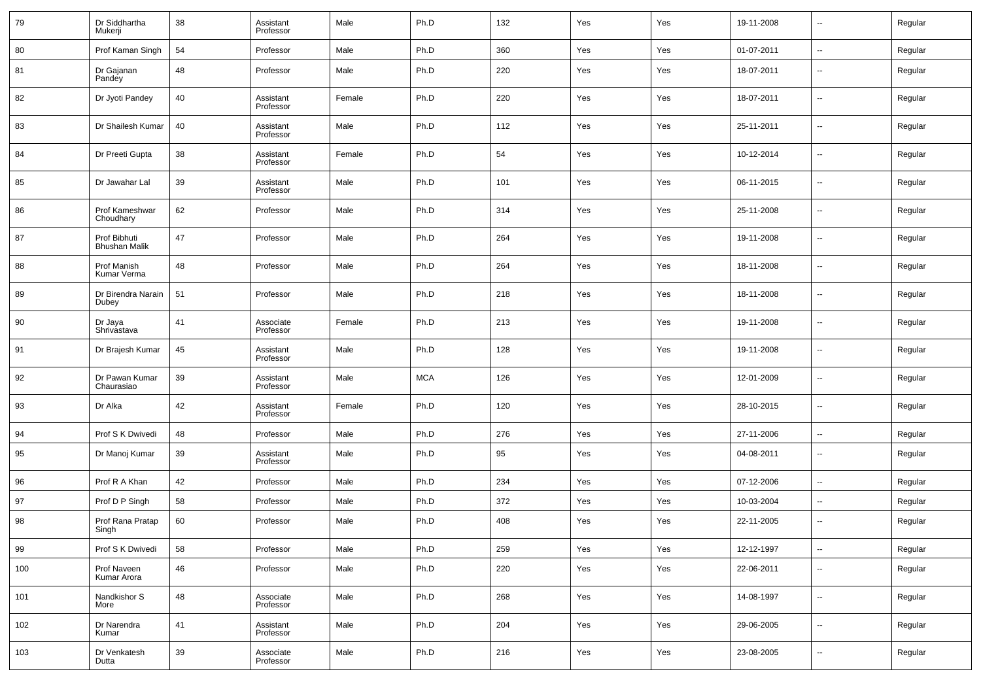| 79  | Dr Siddhartha<br>Mukerji             | 38 | Assistant<br>Professor | Male   | Ph.D       | 132 | Yes | Yes | 19-11-2008 | --                       | Regular |
|-----|--------------------------------------|----|------------------------|--------|------------|-----|-----|-----|------------|--------------------------|---------|
| 80  | Prof Kaman Singh                     | 54 | Professor              | Male   | Ph.D       | 360 | Yes | Yes | 01-07-2011 | $\overline{\phantom{a}}$ | Regular |
| 81  | Dr Gajanan<br>Pandey                 | 48 | Professor              | Male   | Ph.D       | 220 | Yes | Yes | 18-07-2011 | $\overline{\phantom{a}}$ | Regular |
| 82  | Dr Jyoti Pandey                      | 40 | Assistant<br>Professor | Female | Ph.D       | 220 | Yes | Yes | 18-07-2011 | $\overline{\phantom{a}}$ | Regular |
| 83  | Dr Shailesh Kumar                    | 40 | Assistant<br>Professor | Male   | Ph.D       | 112 | Yes | Yes | 25-11-2011 | $\overline{\phantom{a}}$ | Regular |
| 84  | Dr Preeti Gupta                      | 38 | Assistant<br>Professor | Female | Ph.D       | 54  | Yes | Yes | 10-12-2014 | $\overline{\phantom{a}}$ | Regular |
| 85  | Dr Jawahar Lal                       | 39 | Assistant<br>Professor | Male   | Ph.D       | 101 | Yes | Yes | 06-11-2015 | $\overline{\phantom{a}}$ | Regular |
| 86  | Prof Kameshwar<br>Choudhary          | 62 | Professor              | Male   | Ph.D       | 314 | Yes | Yes | 25-11-2008 | $\overline{\phantom{a}}$ | Regular |
| 87  | Prof Bibhuti<br><b>Bhushan Malik</b> | 47 | Professor              | Male   | Ph.D       | 264 | Yes | Yes | 19-11-2008 | $\overline{\phantom{a}}$ | Regular |
| 88  | Prof Manish<br>Kumar Verma           | 48 | Professor              | Male   | Ph.D       | 264 | Yes | Yes | 18-11-2008 | $\overline{\phantom{a}}$ | Regular |
| 89  | Dr Birendra Narain<br>Dubey          | 51 | Professor              | Male   | Ph.D       | 218 | Yes | Yes | 18-11-2008 | $\overline{\phantom{a}}$ | Regular |
| 90  | Dr Jaya<br>Shrivastava               | 41 | Associate<br>Professor | Female | Ph.D       | 213 | Yes | Yes | 19-11-2008 | $\overline{\phantom{a}}$ | Regular |
| 91  | Dr Brajesh Kumar                     | 45 | Assistant<br>Professor | Male   | Ph.D       | 128 | Yes | Yes | 19-11-2008 | $\overline{\phantom{a}}$ | Regular |
| 92  | Dr Pawan Kumar<br>Chaurasiao         | 39 | Assistant<br>Professor | Male   | <b>MCA</b> | 126 | Yes | Yes | 12-01-2009 | $\overline{\phantom{a}}$ | Regular |
| 93  | Dr Alka                              | 42 | Assistant<br>Professor | Female | Ph.D       | 120 | Yes | Yes | 28-10-2015 | $\overline{\phantom{a}}$ | Regular |
| 94  | Prof S K Dwivedi                     | 48 | Professor              | Male   | Ph.D       | 276 | Yes | Yes | 27-11-2006 | $\overline{\phantom{a}}$ | Regular |
| 95  | Dr Manoj Kumar                       | 39 | Assistant<br>Professor | Male   | Ph.D       | 95  | Yes | Yes | 04-08-2011 | $\overline{\phantom{a}}$ | Regular |
| 96  | Prof R A Khan                        | 42 | Professor              | Male   | Ph.D       | 234 | Yes | Yes | 07-12-2006 | $\overline{\phantom{a}}$ | Regular |
| 97  | Prof D P Singh                       | 58 | Professor              | Male   | Ph.D       | 372 | Yes | Yes | 10-03-2004 | --                       | Regular |
| 98  | Prof Rana Pratap<br>Singh            | 60 | Professor              | Male   | Ph.D       | 408 | Yes | Yes | 22-11-2005 | $\overline{\phantom{a}}$ | Regular |
| 99  | Prof S K Dwivedi                     | 58 | Professor              | Male   | Ph.D       | 259 | Yes | Yes | 12-12-1997 | $\overline{\phantom{a}}$ | Regular |
| 100 | Prof Naveen<br>Kumar Arora           | 46 | Professor              | Male   | Ph.D       | 220 | Yes | Yes | 22-06-2011 | $\overline{\phantom{a}}$ | Regular |
| 101 | Nandkishor S<br>More                 | 48 | Associate<br>Professor | Male   | Ph.D       | 268 | Yes | Yes | 14-08-1997 | $\overline{\phantom{a}}$ | Regular |
| 102 | Dr Narendra<br>Kumar                 | 41 | Assistant<br>Professor | Male   | Ph.D       | 204 | Yes | Yes | 29-06-2005 | $\overline{\phantom{a}}$ | Regular |
| 103 | Dr Venkatesh<br>Dutta                | 39 | Associate<br>Professor | Male   | Ph.D       | 216 | Yes | Yes | 23-08-2005 | ۰.                       | Regular |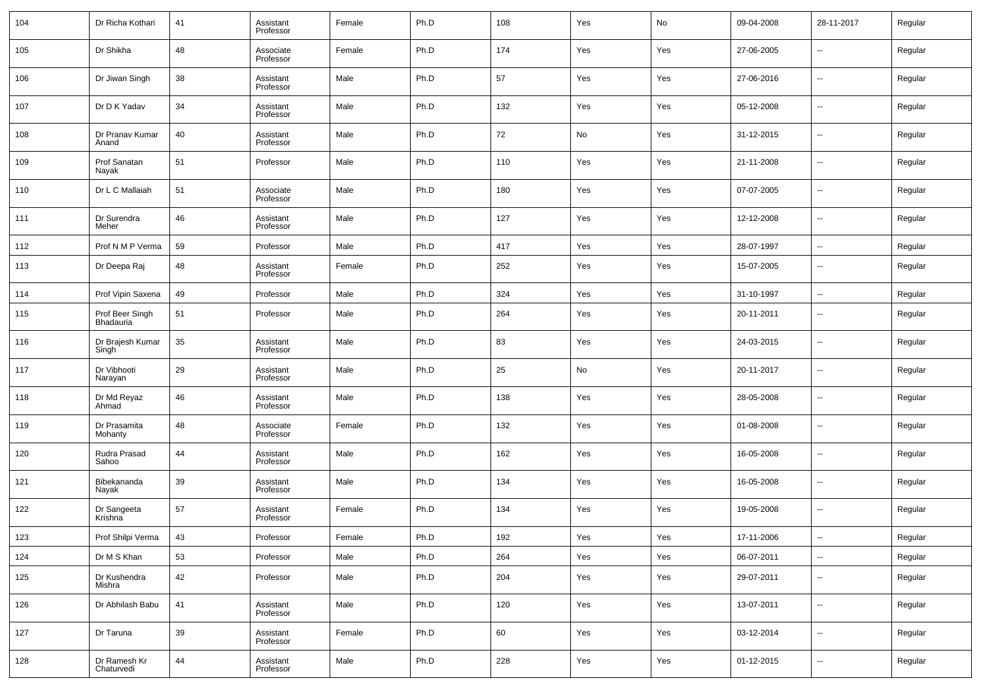| 104 | Dr Richa Kothari             | 41 | Assistant<br>Professor | Female | Ph.D | 108 | Yes | No  | 09-04-2008 | 28-11-2017               | Regular |
|-----|------------------------------|----|------------------------|--------|------|-----|-----|-----|------------|--------------------------|---------|
| 105 | Dr Shikha                    | 48 | Associate<br>Professor | Female | Ph.D | 174 | Yes | Yes | 27-06-2005 | --                       | Regular |
| 106 | Dr Jiwan Singh               | 38 | Assistant<br>Professor | Male   | Ph.D | 57  | Yes | Yes | 27-06-2016 | ш.                       | Regular |
| 107 | Dr D K Yadav                 | 34 | Assistant<br>Professor | Male   | Ph.D | 132 | Yes | Yes | 05-12-2008 | $\overline{\phantom{a}}$ | Regular |
| 108 | Dr Pranav Kumar<br>Anand     | 40 | Assistant<br>Professor | Male   | Ph.D | 72  | No  | Yes | 31-12-2015 | ш.                       | Regular |
| 109 | Prof Sanatan<br>Nayak        | 51 | Professor              | Male   | Ph.D | 110 | Yes | Yes | 21-11-2008 | $\overline{\phantom{a}}$ | Regular |
| 110 | Dr L C Mallaiah              | 51 | Associate<br>Professor | Male   | Ph.D | 180 | Yes | Yes | 07-07-2005 | ш.                       | Regular |
| 111 | Dr Surendra<br>Meher         | 46 | Assistant<br>Professor | Male   | Ph.D | 127 | Yes | Yes | 12-12-2008 | $\overline{\phantom{a}}$ | Regular |
| 112 | Prof N M P Verma             | 59 | Professor              | Male   | Ph.D | 417 | Yes | Yes | 28-07-1997 | ш.                       | Regular |
| 113 | Dr Deepa Raj                 | 48 | Assistant<br>Professor | Female | Ph.D | 252 | Yes | Yes | 15-07-2005 | $\sim$                   | Regular |
| 114 | Prof Vipin Saxena            | 49 | Professor              | Male   | Ph.D | 324 | Yes | Yes | 31-10-1997 | $\overline{\phantom{a}}$ | Regular |
| 115 | Prof Beer Singh<br>Bhadauria | 51 | Professor              | Male   | Ph.D | 264 | Yes | Yes | 20-11-2011 | $\sim$                   | Regular |
| 116 | Dr Brajesh Kumar<br>Singh    | 35 | Assistant<br>Professor | Male   | Ph.D | 83  | Yes | Yes | 24-03-2015 | $\overline{\phantom{a}}$ | Regular |
| 117 | Dr Vibhooti<br>Narayan       | 29 | Assistant<br>Professor | Male   | Ph.D | 25  | No  | Yes | 20-11-2017 | $\overline{\phantom{a}}$ | Regular |
| 118 | Dr Md Reyaz<br>Ahmad         | 46 | Assistant<br>Professor | Male   | Ph.D | 138 | Yes | Yes | 28-05-2008 | н.                       | Regular |
| 119 | Dr Prasamita<br>Mohanty      | 48 | Associate<br>Professor | Female | Ph.D | 132 | Yes | Yes | 01-08-2008 | ш.                       | Regular |
| 120 | Rudra Prasad<br>Sahoo        | 44 | Assistant<br>Professor | Male   | Ph.D | 162 | Yes | Yes | 16-05-2008 | $\overline{\phantom{a}}$ | Regular |
| 121 | Bibekananda<br>Nayak         | 39 | Assistant<br>Professor | Male   | Ph.D | 134 | Yes | Yes | 16-05-2008 | ш.                       | Regular |
| 122 | Dr Sangeeta<br>Krishna       | 57 | Assistant<br>Professor | Female | Ph.D | 134 | Yes | Yes | 19-05-2008 | ш.                       | Regular |
| 123 | Prof Shilpi Verma            | 43 | Professor              | Female | Ph.D | 192 | Yes | Yes | 17-11-2006 | $\sim$                   | Regular |
| 124 | Dr M S Khan                  | 53 | Professor              | Male   | Ph.D | 264 | Yes | Yes | 06-07-2011 | $\sim$                   | Regular |
| 125 | Dr Kushendra<br>Mishra       | 42 | Professor              | Male   | Ph.D | 204 | Yes | Yes | 29-07-2011 | $\sim$                   | Regular |
| 126 | Dr Abhilash Babu             | 41 | Assistant<br>Professor | Male   | Ph.D | 120 | Yes | Yes | 13-07-2011 | $\sim$                   | Regular |
| 127 | Dr Taruna                    | 39 | Assistant<br>Professor | Female | Ph.D | 60  | Yes | Yes | 03-12-2014 | $\sim$                   | Regular |
| 128 | Dr Ramesh Kr<br>Chaturvedi   | 44 | Assistant<br>Professor | Male   | Ph.D | 228 | Yes | Yes | 01-12-2015 | $\sim$                   | Regular |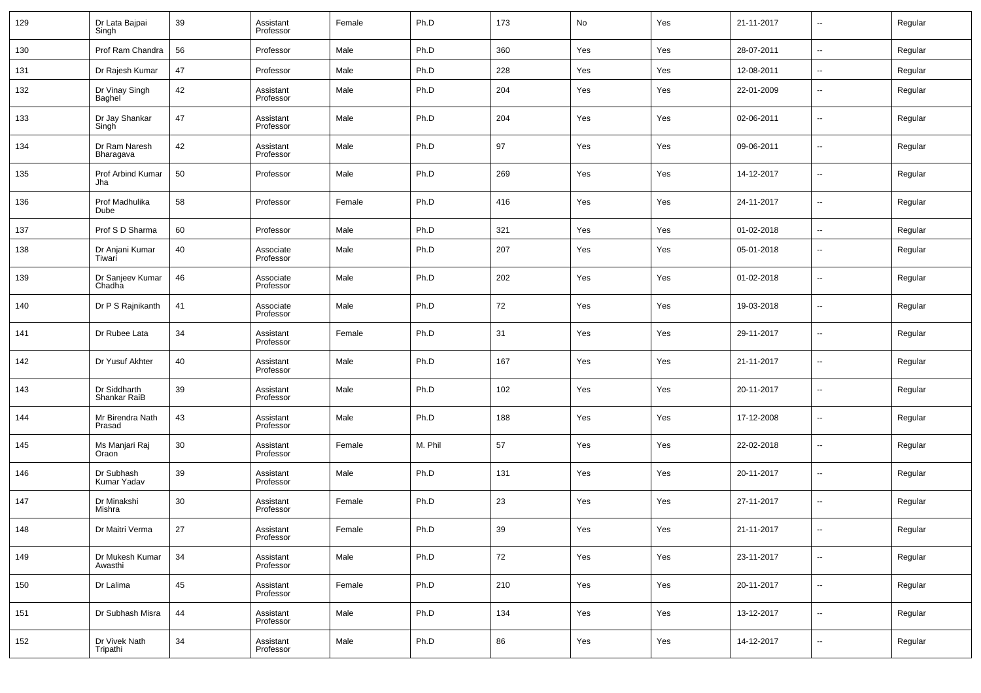| 129 | Dr Lata Bajpai<br>Singh      | 39 | Assistant<br>Professor | Female | Ph.D    | 173 | No  | Yes | 21-11-2017 | $\sim$                   | Regular |
|-----|------------------------------|----|------------------------|--------|---------|-----|-----|-----|------------|--------------------------|---------|
| 130 | Prof Ram Chandra             | 56 | Professor              | Male   | Ph.D    | 360 | Yes | Yes | 28-07-2011 | $\overline{\phantom{a}}$ | Regular |
| 131 | Dr Rajesh Kumar              | 47 | Professor              | Male   | Ph.D    | 228 | Yes | Yes | 12-08-2011 | $\sim$                   | Regular |
| 132 | Dr Vinay Singh<br>Baghel     | 42 | Assistant<br>Professor | Male   | Ph.D    | 204 | Yes | Yes | 22-01-2009 | $\overline{\phantom{a}}$ | Regular |
| 133 | Dr Jay Shankar<br>Singh      | 47 | Assistant<br>Professor | Male   | Ph.D    | 204 | Yes | Yes | 02-06-2011 | $\overline{\phantom{a}}$ | Regular |
| 134 | Dr Ram Naresh<br>Bharagava   | 42 | Assistant<br>Professor | Male   | Ph.D    | 97  | Yes | Yes | 09-06-2011 | $\overline{\phantom{a}}$ | Regular |
| 135 | Prof Arbind Kumar<br>Jha     | 50 | Professor              | Male   | Ph.D    | 269 | Yes | Yes | 14-12-2017 | $\overline{\phantom{a}}$ | Regular |
| 136 | Prof Madhulika<br>Dube       | 58 | Professor              | Female | Ph.D    | 416 | Yes | Yes | 24-11-2017 | $\overline{\phantom{a}}$ | Regular |
| 137 | Prof S D Sharma              | 60 | Professor              | Male   | Ph.D    | 321 | Yes | Yes | 01-02-2018 | $\overline{\phantom{a}}$ | Regular |
| 138 | Dr Anjani Kumar<br>Tiwari    | 40 | Associate<br>Professor | Male   | Ph.D    | 207 | Yes | Yes | 05-01-2018 | --                       | Regular |
| 139 | Dr Sanjeev Kumar<br>Chadha   | 46 | Associate<br>Professor | Male   | Ph.D    | 202 | Yes | Yes | 01-02-2018 | --                       | Regular |
| 140 | Dr P S Rajnikanth            | 41 | Associate<br>Professor | Male   | Ph.D    | 72  | Yes | Yes | 19-03-2018 | --                       | Regular |
| 141 | Dr Rubee Lata                | 34 | Assistant<br>Professor | Female | Ph.D    | 31  | Yes | Yes | 29-11-2017 | --                       | Regular |
| 142 | Dr Yusuf Akhter              | 40 | Assistant<br>Professor | Male   | Ph.D    | 167 | Yes | Yes | 21-11-2017 | --                       | Regular |
| 143 | Dr Siddharth<br>Shankar RaiB | 39 | Assistant<br>Professor | Male   | Ph.D    | 102 | Yes | Yes | 20-11-2017 | --                       | Regular |
| 144 | Mr Birendra Nath<br>Prasad   | 43 | Assistant<br>Professor | Male   | Ph.D    | 188 | Yes | Yes | 17-12-2008 | --                       | Regular |
| 145 | Ms Manjari Raj<br>Oraon      | 30 | Assistant<br>Professor | Female | M. Phil | 57  | Yes | Yes | 22-02-2018 | --                       | Regular |
| 146 | Dr Subhash<br>Kumar Yadav    | 39 | Assistant<br>Professor | Male   | Ph.D    | 131 | Yes | Yes | 20-11-2017 | --                       | Regular |
| 147 | Dr Minakshi<br>Mishra        | 30 | Assistant<br>Professor | Female | Ph.D    | 23  | Yes | Yes | 27-11-2017 | --                       | Regular |
| 148 | Dr Maitri Verma              | 27 | Assistant<br>Professor | Female | Ph.D    | 39  | Yes | Yes | 21-11-2017 | $\overline{a}$           | Regular |
| 149 | Dr Mukesh Kumar<br>Awasthi   | 34 | Assistant<br>Professor | Male   | Ph.D    | 72  | Yes | Yes | 23-11-2017 | $\sim$                   | Regular |
| 150 | Dr Lalima                    | 45 | Assistant<br>Professor | Female | Ph.D    | 210 | Yes | Yes | 20-11-2017 | $\overline{\phantom{a}}$ | Regular |
| 151 | Dr Subhash Misra             | 44 | Assistant<br>Professor | Male   | Ph.D    | 134 | Yes | Yes | 13-12-2017 | $\sim$                   | Regular |
| 152 | Dr Vivek Nath<br>Tripathi    | 34 | Assistant<br>Professor | Male   | Ph.D    | 86  | Yes | Yes | 14-12-2017 | $\sim$                   | Regular |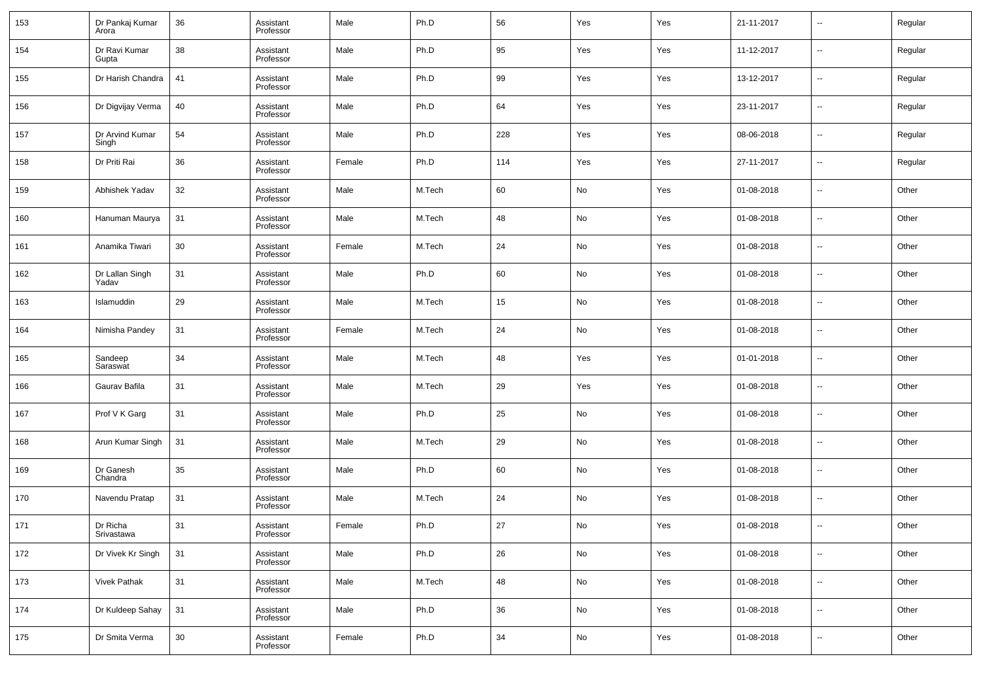| 153 | Dr Pankaj Kumar<br>Arora | 36 | Assistant<br>Professor | Male   | Ph.D   | 56     | Yes        | Yes | 21-11-2017 | $\sim$                   | Regular |
|-----|--------------------------|----|------------------------|--------|--------|--------|------------|-----|------------|--------------------------|---------|
| 154 | Dr Ravi Kumar<br>Gupta   | 38 | Assistant<br>Professor | Male   | Ph.D   | 95     | Yes        | Yes | 11-12-2017 | $\sim$                   | Regular |
| 155 | Dr Harish Chandra        | 41 | Assistant<br>Professor | Male   | Ph.D   | 99     | Yes        | Yes | 13-12-2017 | $\sim$                   | Regular |
| 156 | Dr Digvijay Verma        | 40 | Assistant<br>Professor | Male   | Ph.D   | 64     | Yes        | Yes | 23-11-2017 | $\sim$                   | Regular |
| 157 | Dr Arvind Kumar<br>Singh | 54 | Assistant<br>Professor | Male   | Ph.D   | 228    | Yes        | Yes | 08-06-2018 | $\sim$                   | Regular |
| 158 | Dr Priti Rai             | 36 | Assistant<br>Professor | Female | Ph.D   | 114    | Yes        | Yes | 27-11-2017 | $\sim$                   | Regular |
| 159 | Abhishek Yadav           | 32 | Assistant<br>Professor | Male   | M.Tech | 60     | No         | Yes | 01-08-2018 | $\overline{\phantom{a}}$ | Other   |
| 160 | Hanuman Maurya           | 31 | Assistant<br>Professor | Male   | M.Tech | 48     | No         | Yes | 01-08-2018 | $\sim$                   | Other   |
| 161 | Anamika Tiwari           | 30 | Assistant<br>Professor | Female | M.Tech | 24     | No         | Yes | 01-08-2018 | $\overline{\phantom{a}}$ | Other   |
| 162 | Dr Lallan Singh<br>Yadav | 31 | Assistant<br>Professor | Male   | Ph.D   | 60     | No         | Yes | 01-08-2018 | $\sim$                   | Other   |
| 163 | Islamuddin               | 29 | Assistant<br>Professor | Male   | M.Tech | 15     | No         | Yes | 01-08-2018 | $\sim$                   | Other   |
| 164 | Nimisha Pandey           | 31 | Assistant<br>Professor | Female | M.Tech | 24     | No         | Yes | 01-08-2018 | $\sim$                   | Other   |
| 165 | Sandeep<br>Saraswat      | 34 | Assistant<br>Professor | Male   | M.Tech | 48     | Yes        | Yes | 01-01-2018 | --                       | Other   |
| 166 | Gaurav Bafila            | 31 | Assistant<br>Professor | Male   | M.Tech | 29     | Yes        | Yes | 01-08-2018 | $\overline{\phantom{a}}$ | Other   |
| 167 | Prof V K Garg            | 31 | Assistant<br>Professor | Male   | Ph.D   | 25     | No         | Yes | 01-08-2018 | --                       | Other   |
| 168 | Arun Kumar Singh         | 31 | Assistant<br>Professor | Male   | M.Tech | 29     | No         | Yes | 01-08-2018 | $\sim$                   | Other   |
| 169 | Dr Ganesh<br>Chandra     | 35 | Assistant<br>Professor | Male   | Ph.D   | 60     | No         | Yes | 01-08-2018 | --                       | Other   |
| 170 | Navendu Pratap           | 31 | Assistant<br>Professor | Male   | M.Tech | 24     | No         | Yes | 01-08-2018 | --                       | Other   |
| 171 | Dr Richa<br>Srivastawa   | 31 | Assistant<br>Professor | Female | Ph.D   | 27     | No         | Yes | 01-08-2018 | $\overline{a}$           | Other   |
| 172 | Dr Vivek Kr Singh        | 31 | Assistant<br>Professor | Male   | Ph.D   | 26     | ${\sf No}$ | Yes | 01-08-2018 | $\overline{\phantom{a}}$ | Other   |
| 173 | Vivek Pathak             | 31 | Assistant<br>Professor | Male   | M.Tech | 48     | No         | Yes | 01-08-2018 | $\overline{\phantom{a}}$ | Other   |
| 174 | Dr Kuldeep Sahay         | 31 | Assistant<br>Professor | Male   | Ph.D   | 36     | ${\sf No}$ | Yes | 01-08-2018 | $\overline{\phantom{a}}$ | Other   |
| 175 | Dr Smita Verma           | 30 | Assistant<br>Professor | Female | Ph.D   | $34\,$ | ${\sf No}$ | Yes | 01-08-2018 | $\overline{\phantom{a}}$ | Other   |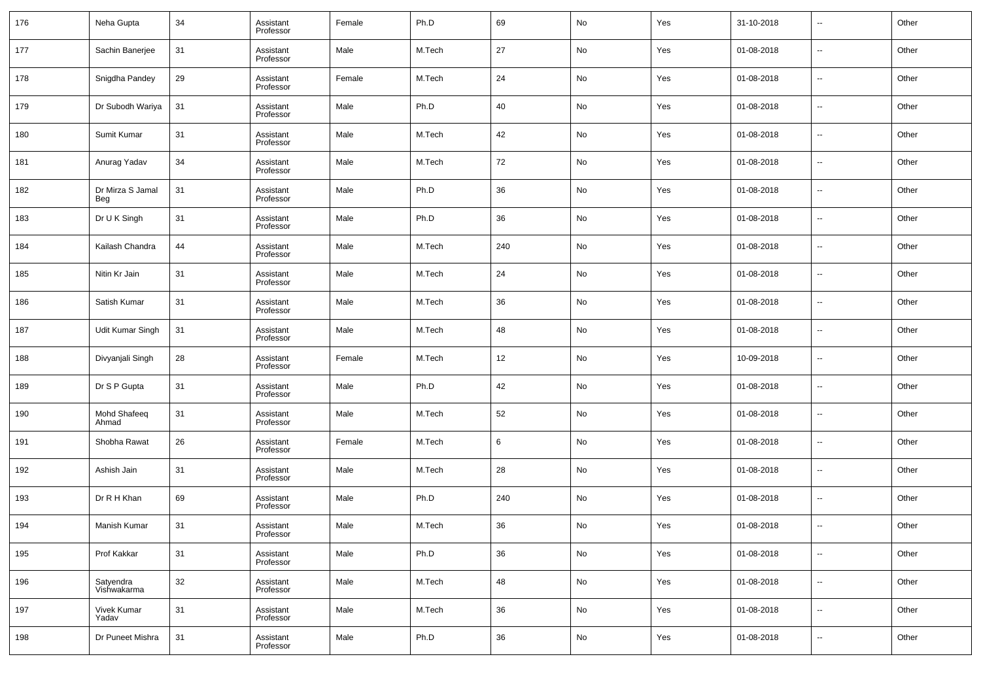| 176 | Neha Gupta               | 34 | Assistant<br>Professor | Female | Ph.D   | 69     | No | Yes | 31-10-2018 | --     | Other |
|-----|--------------------------|----|------------------------|--------|--------|--------|----|-----|------------|--------|-------|
| 177 | Sachin Banerjee          | 31 | Assistant<br>Professor | Male   | M.Tech | 27     | No | Yes | 01-08-2018 | $\sim$ | Other |
| 178 | Snigdha Pandey           | 29 | Assistant<br>Professor | Female | M.Tech | 24     | No | Yes | 01-08-2018 | $\sim$ | Other |
| 179 | Dr Subodh Wariya         | 31 | Assistant<br>Professor | Male   | Ph.D   | 40     | No | Yes | 01-08-2018 | $\sim$ | Other |
| 180 | Sumit Kumar              | 31 | Assistant<br>Professor | Male   | M.Tech | 42     | No | Yes | 01-08-2018 | $\sim$ | Other |
| 181 | Anurag Yadav             | 34 | Assistant<br>Professor | Male   | M.Tech | 72     | No | Yes | 01-08-2018 | $\sim$ | Other |
| 182 | Dr Mirza S Jamal<br>Beg  | 31 | Assistant<br>Professor | Male   | Ph.D   | 36     | No | Yes | 01-08-2018 | $\sim$ | Other |
| 183 | Dr U K Singh             | 31 | Assistant<br>Professor | Male   | Ph.D   | 36     | No | Yes | 01-08-2018 | $\sim$ | Other |
| 184 | Kailash Chandra          | 44 | Assistant<br>Professor | Male   | M.Tech | 240    | No | Yes | 01-08-2018 | $\sim$ | Other |
| 185 | Nitin Kr Jain            | 31 | Assistant<br>Professor | Male   | M.Tech | 24     | No | Yes | 01-08-2018 | $\sim$ | Other |
| 186 | Satish Kumar             | 31 | Assistant<br>Professor | Male   | M.Tech | 36     | No | Yes | 01-08-2018 | $\sim$ | Other |
| 187 | Udit Kumar Singh         | 31 | Assistant<br>Professor | Male   | M.Tech | 48     | No | Yes | 01-08-2018 | --     | Other |
| 188 | Divyanjali Singh         | 28 | Assistant<br>Professor | Female | M.Tech | 12     | No | Yes | 10-09-2018 | $\sim$ | Other |
| 189 | Dr S P Gupta             | 31 | Assistant<br>Professor | Male   | Ph.D   | 42     | No | Yes | 01-08-2018 | --     | Other |
| 190 | Mohd Shafeeq<br>Ahmad    | 31 | Assistant<br>Professor | Male   | M.Tech | 52     | No | Yes | 01-08-2018 | $\sim$ | Other |
| 191 | Shobha Rawat             | 26 | Assistant<br>Professor | Female | M.Tech | 6      | No | Yes | 01-08-2018 | --     | Other |
| 192 | Ashish Jain              | 31 | Assistant<br>Professor | Male   | M.Tech | 28     | No | Yes | 01-08-2018 | --     | Other |
| 193 | Dr R H Khan              | 69 | Assistant<br>Professor | Male   | Ph.D   | 240    | No | Yes | 01-08-2018 | --     | Other |
| 194 | Manish Kumar             | 31 | Assistant<br>Professor | Male   | M.Tech | 36     | No | Yes | 01-08-2018 | ۰.     | Other |
| 195 | Prof Kakkar              | 31 | Assistant<br>Professor | Male   | Ph.D   | 36     | No | Yes | 01-08-2018 | $\sim$ | Other |
| 196 | Satyendra<br>Vishwakarma | 32 | Assistant<br>Professor | Male   | M.Tech | 48     | No | Yes | 01-08-2018 | $\sim$ | Other |
| 197 | Vivek Kumar<br>Yadav     | 31 | Assistant<br>Professor | Male   | M.Tech | $36\,$ | No | Yes | 01-08-2018 | $\sim$ | Other |
| 198 | Dr Puneet Mishra         | 31 | Assistant<br>Professor | Male   | Ph.D   | 36     | No | Yes | 01-08-2018 | $\sim$ | Other |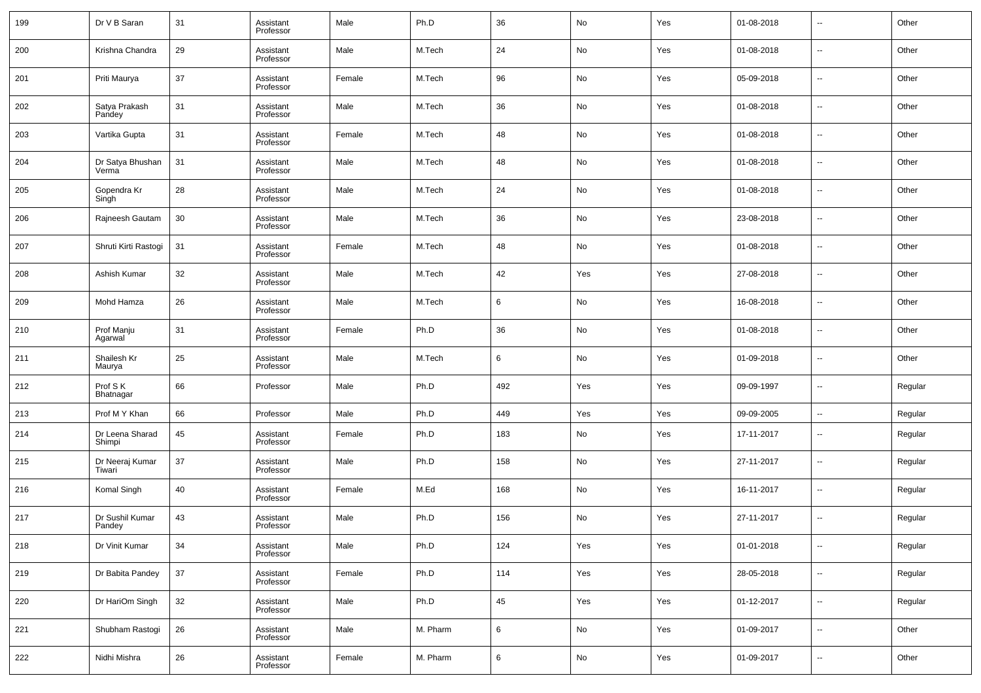| 199 | Dr V B Saran              | 31     | Assistant<br>Professor | Male   | Ph.D     | 36  | No  | Yes | 01-08-2018 | $\overline{\phantom{a}}$ | Other   |
|-----|---------------------------|--------|------------------------|--------|----------|-----|-----|-----|------------|--------------------------|---------|
| 200 | Krishna Chandra           | 29     | Assistant<br>Professor | Male   | M.Tech   | 24  | No  | Yes | 01-08-2018 | ш.                       | Other   |
| 201 | Priti Maurya              | 37     | Assistant<br>Professor | Female | M.Tech   | 96  | No  | Yes | 05-09-2018 | $\overline{\phantom{a}}$ | Other   |
| 202 | Satya Prakash<br>Pandey   | 31     | Assistant<br>Professor | Male   | M.Tech   | 36  | No  | Yes | 01-08-2018 | $\overline{\phantom{a}}$ | Other   |
| 203 | Vartika Gupta             | 31     | Assistant<br>Professor | Female | M.Tech   | 48  | No  | Yes | 01-08-2018 | ш.                       | Other   |
| 204 | Dr Satya Bhushan<br>Verma | 31     | Assistant<br>Professor | Male   | M.Tech   | 48  | No  | Yes | 01-08-2018 | $\overline{\phantom{a}}$ | Other   |
| 205 | Gopendra Kr<br>Singh      | 28     | Assistant<br>Professor | Male   | M.Tech   | 24  | No  | Yes | 01-08-2018 | ш.                       | Other   |
| 206 | Rajneesh Gautam           | 30     | Assistant<br>Professor | Male   | M.Tech   | 36  | No  | Yes | 23-08-2018 | $\overline{\phantom{a}}$ | Other   |
| 207 | Shruti Kirti Rastogi      | 31     | Assistant<br>Professor | Female | M.Tech   | 48  | No  | Yes | 01-08-2018 | ш.                       | Other   |
| 208 | Ashish Kumar              | 32     | Assistant<br>Professor | Male   | M.Tech   | 42  | Yes | Yes | 27-08-2018 | $\overline{\phantom{a}}$ | Other   |
| 209 | Mohd Hamza                | 26     | Assistant<br>Professor | Male   | M.Tech   | 6   | No  | Yes | 16-08-2018 | --                       | Other   |
| 210 | Prof Manju<br>Agarwal     | 31     | Assistant<br>Professor | Female | Ph.D     | 36  | No  | Yes | 01-08-2018 | ш.                       | Other   |
| 211 | Shailesh Kr<br>Maurya     | 25     | Assistant<br>Professor | Male   | M.Tech   | 6   | No  | Yes | 01-09-2018 | ш.                       | Other   |
| 212 | Prof S K<br>Bhatnagar     | 66     | Professor              | Male   | Ph.D     | 492 | Yes | Yes | 09-09-1997 | $\overline{a}$           | Regular |
| 213 | Prof M Y Khan             | 66     | Professor              | Male   | Ph.D     | 449 | Yes | Yes | 09-09-2005 | $\overline{\phantom{a}}$ | Regular |
| 214 | Dr Leena Sharad<br>Shimpi | 45     | Assistant<br>Professor | Female | Ph.D     | 183 | No  | Yes | 17-11-2017 | $\sim$                   | Regular |
| 215 | Dr Neeraj Kumar<br>Tiwari | 37     | Assistant<br>Professor | Male   | Ph.D     | 158 | No  | Yes | 27-11-2017 | $\sim$                   | Regular |
| 216 | Komal Singh               | 40     | Assistant<br>Professor | Female | M.Ed     | 168 | No  | Yes | 16-11-2017 | $\sim$                   | Regular |
| 217 | Dr Sushil Kumar<br>Pandey | 43     | Assistant<br>Professor | Male   | Ph.D     | 156 | No  | Yes | 27-11-2017 | --                       | Regular |
| 218 | Dr Vinit Kumar            | 34     | Assistant<br>Professor | Male   | Ph.D     | 124 | Yes | Yes | 01-01-2018 | $\sim$                   | Regular |
| 219 | Dr Babita Pandey          | $37\,$ | Assistant<br>Professor | Female | Ph.D     | 114 | Yes | Yes | 28-05-2018 | $\sim$                   | Regular |
| 220 | Dr HariOm Singh           | 32     | Assistant<br>Professor | Male   | Ph.D     | 45  | Yes | Yes | 01-12-2017 | $\sim$                   | Regular |
| 221 | Shubham Rastogi           | 26     | Assistant<br>Professor | Male   | M. Pharm | 6   | No  | Yes | 01-09-2017 | $\sim$                   | Other   |
| 222 | Nidhi Mishra              | 26     | Assistant<br>Professor | Female | M. Pharm | 6   | No  | Yes | 01-09-2017 | $\sim$                   | Other   |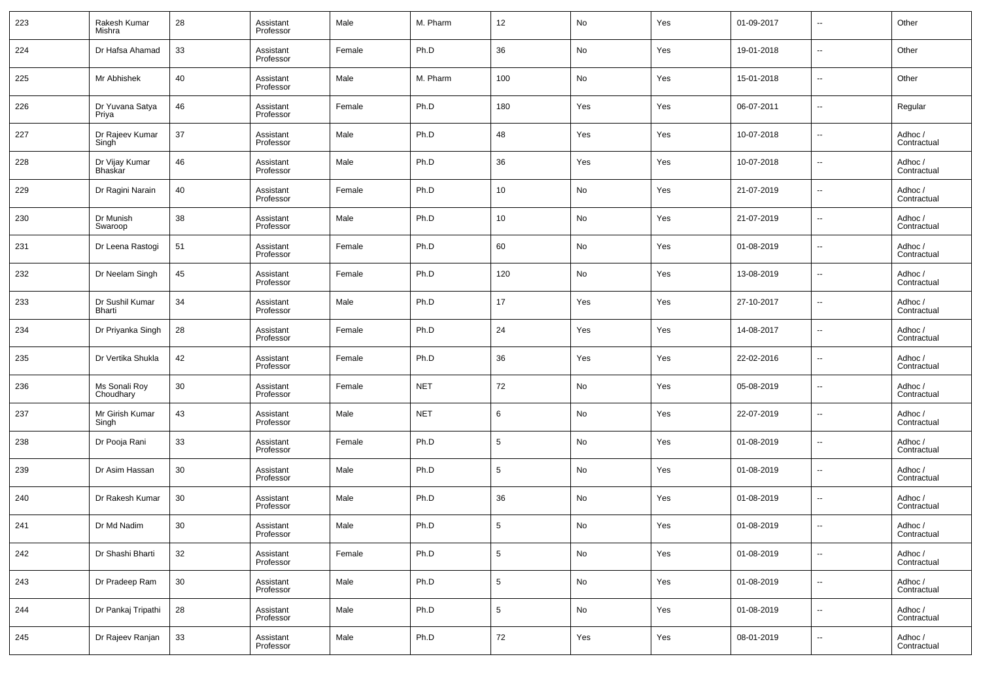| 223 | Rakesh Kumar<br>Mishra                | 28 | Assistant<br>Professor | Male   | M. Pharm   | 12              | No         | Yes | 01-09-2017 | $\overline{\phantom{a}}$ | Other                  |
|-----|---------------------------------------|----|------------------------|--------|------------|-----------------|------------|-----|------------|--------------------------|------------------------|
| 224 | Dr Hafsa Ahamad                       | 33 | Assistant<br>Professor | Female | Ph.D       | 36              | No         | Yes | 19-01-2018 | $\overline{\phantom{a}}$ | Other                  |
| 225 | Mr Abhishek                           | 40 | Assistant<br>Professor | Male   | M. Pharm   | 100             | No         | Yes | 15-01-2018 | $\overline{\phantom{a}}$ | Other                  |
| 226 | Dr Yuvana Satya<br>Priya              | 46 | Assistant<br>Professor | Female | Ph.D       | 180             | Yes        | Yes | 06-07-2011 | $\overline{\phantom{a}}$ | Regular                |
| 227 | Dr Rajeev Kumar<br>Singh <sup>-</sup> | 37 | Assistant<br>Professor | Male   | Ph.D       | 48              | Yes        | Yes | 10-07-2018 | $\sim$                   | Adhoc /<br>Contractual |
| 228 | Dr Vijay Kumar<br>Bhaskar             | 46 | Assistant<br>Professor | Male   | Ph.D       | 36              | Yes        | Yes | 10-07-2018 | $\overline{\phantom{a}}$ | Adhoc /<br>Contractual |
| 229 | Dr Ragini Narain                      | 40 | Assistant<br>Professor | Female | Ph.D       | 10 <sup>°</sup> | No         | Yes | 21-07-2019 | $\overline{\phantom{a}}$ | Adhoc /<br>Contractual |
| 230 | Dr Munish<br>Swaroop                  | 38 | Assistant<br>Professor | Male   | Ph.D       | 10 <sup>°</sup> | No         | Yes | 21-07-2019 | $\overline{\phantom{a}}$ | Adhoc /<br>Contractual |
| 231 | Dr Leena Rastogi                      | 51 | Assistant<br>Professor | Female | Ph.D       | 60              | No         | Yes | 01-08-2019 | $\sim$                   | Adhoc /<br>Contractual |
| 232 | Dr Neelam Singh                       | 45 | Assistant<br>Professor | Female | Ph.D       | 120             | No         | Yes | 13-08-2019 | $\overline{\phantom{a}}$ | Adhoc /<br>Contractual |
| 233 | Dr Sushil Kumar<br>Bharti             | 34 | Assistant<br>Professor | Male   | Ph.D       | 17              | Yes        | Yes | 27-10-2017 | $\overline{\phantom{a}}$ | Adhoc /<br>Contractual |
| 234 | Dr Priyanka Singh                     | 28 | Assistant<br>Professor | Female | Ph.D       | 24              | Yes        | Yes | 14-08-2017 | $\overline{\phantom{a}}$ | Adhoc /<br>Contractual |
| 235 | Dr Vertika Shukla                     | 42 | Assistant<br>Professor | Female | Ph.D       | 36              | Yes        | Yes | 22-02-2016 | $\overline{\phantom{a}}$ | Adhoc /<br>Contractual |
| 236 | Ms Sonali Roy<br>Choudhary            | 30 | Assistant<br>Professor | Female | <b>NET</b> | 72              | No         | Yes | 05-08-2019 | $\sim$                   | Adhoc /<br>Contractual |
| 237 | Mr Girish Kumar<br>Singh              | 43 | Assistant<br>Professor | Male   | <b>NET</b> | 6               | No         | Yes | 22-07-2019 | $\overline{\phantom{a}}$ | Adhoc /<br>Contractual |
| 238 | Dr Pooja Rani                         | 33 | Assistant<br>Professor | Female | Ph.D       | $5\phantom{.0}$ | No         | Yes | 01-08-2019 | $\sim$                   | Adhoc /<br>Contractual |
| 239 | Dr Asim Hassan                        | 30 | Assistant<br>Professor | Male   | Ph.D       | $5\phantom{.0}$ | No         | Yes | 01-08-2019 | $\overline{\phantom{a}}$ | Adhoc /<br>Contractual |
| 240 | Dr Rakesh Kumar                       | 30 | Assistant<br>Professor | Male   | Ph.D       | 36              | No         | Yes | 01-08-2019 | $\sim$                   | Adhoc /<br>Contractual |
| 241 | Dr Md Nadim                           | 30 | Assistant<br>Professor | Male   | Ph.D       | 5               | No         | Yes | 01-08-2019 | $\overline{a}$           | Adhoc /<br>Contractual |
| 242 | Dr Shashi Bharti                      | 32 | Assistant<br>Professor | Female | Ph.D       | $5\phantom{.0}$ | No         | Yes | 01-08-2019 | $\sim$                   | Adhoc /<br>Contractual |
| 243 | Dr Pradeep Ram                        | 30 | Assistant<br>Professor | Male   | Ph.D       | $\sqrt{5}$      | ${\sf No}$ | Yes | 01-08-2019 | $\overline{\phantom{a}}$ | Adhoc /<br>Contractual |
| 244 | Dr Pankaj Tripathi                    | 28 | Assistant<br>Professor | Male   | Ph.D       | $\sqrt{5}$      | No         | Yes | 01-08-2019 | $\overline{\phantom{a}}$ | Adhoc /<br>Contractual |
| 245 | Dr Rajeev Ranjan                      | 33 | Assistant<br>Professor | Male   | Ph.D       | $72\,$          | Yes        | Yes | 08-01-2019 | $\overline{\phantom{a}}$ | Adhoc /<br>Contractual |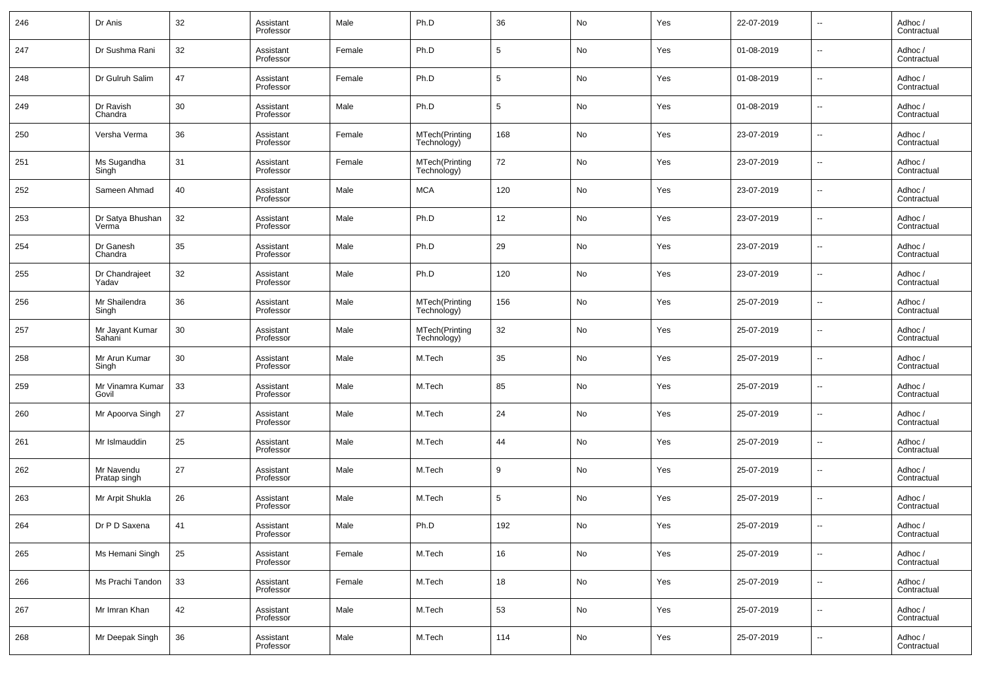| 246 | Dr Anis                    | 32 | Assistant<br>Professor | Male   | Ph.D                          | 36  | No | Yes | 22-07-2019 | $\overline{\phantom{a}}$ | Adhoc /<br>Contractual |
|-----|----------------------------|----|------------------------|--------|-------------------------------|-----|----|-----|------------|--------------------------|------------------------|
| 247 | Dr Sushma Rani             | 32 | Assistant<br>Professor | Female | Ph.D                          | 5   | No | Yes | 01-08-2019 | $\overline{\phantom{a}}$ | Adhoc /<br>Contractual |
| 248 | Dr Gulruh Salim            | 47 | Assistant<br>Professor | Female | Ph.D                          | 5   | No | Yes | 01-08-2019 | $\overline{\phantom{a}}$ | Adhoc /<br>Contractual |
| 249 | Dr Ravish<br>Chandra       | 30 | Assistant<br>Professor | Male   | Ph.D                          | 5   | No | Yes | 01-08-2019 | $\overline{\phantom{a}}$ | Adhoc /<br>Contractual |
| 250 | Versha Verma               | 36 | Assistant<br>Professor | Female | MTech(Printing<br>Technology) | 168 | No | Yes | 23-07-2019 | $\overline{\phantom{a}}$ | Adhoc /<br>Contractual |
| 251 | Ms Sugandha<br>Singh       | 31 | Assistant<br>Professor | Female | MTech(Printing<br>Technology) | 72  | No | Yes | 23-07-2019 | $\overline{\phantom{a}}$ | Adhoc /<br>Contractual |
| 252 | Sameen Ahmad               | 40 | Assistant<br>Professor | Male   | <b>MCA</b>                    | 120 | No | Yes | 23-07-2019 | $\overline{\phantom{a}}$ | Adhoc /<br>Contractual |
| 253 | Dr Satya Bhushan<br>Verma  | 32 | Assistant<br>Professor | Male   | Ph.D                          | 12  | No | Yes | 23-07-2019 | $\overline{\phantom{a}}$ | Adhoc /<br>Contractual |
| 254 | Dr Ganesh<br>Chandra       | 35 | Assistant<br>Professor | Male   | Ph.D                          | 29  | No | Yes | 23-07-2019 | $\overline{\phantom{a}}$ | Adhoc /<br>Contractual |
| 255 | Dr Chandrajeet<br>Yadav    | 32 | Assistant<br>Professor | Male   | Ph.D                          | 120 | No | Yes | 23-07-2019 | $\overline{\phantom{a}}$ | Adhoc /<br>Contractual |
| 256 | Mr Shailendra<br>Singh     | 36 | Assistant<br>Professor | Male   | MTech(Printing<br>Technology) | 156 | No | Yes | 25-07-2019 | $\overline{\phantom{a}}$ | Adhoc /<br>Contractual |
| 257 | Mr Jayant Kumar<br>Sahani  | 30 | Assistant<br>Professor | Male   | MTech(Printing<br>Technology) | 32  | No | Yes | 25-07-2019 | $\overline{\phantom{a}}$ | Adhoc /<br>Contractual |
| 258 | Mr Arun Kumar<br>Singh     | 30 | Assistant<br>Professor | Male   | M.Tech                        | 35  | No | Yes | 25-07-2019 | $\overline{\phantom{a}}$ | Adhoc /<br>Contractual |
| 259 | Mr Vinamra Kumar<br>Govil  | 33 | Assistant<br>Professor | Male   | M.Tech                        | 85  | No | Yes | 25-07-2019 | $\overline{\phantom{a}}$ | Adhoc /<br>Contractual |
| 260 | Mr Apoorva Singh           | 27 | Assistant<br>Professor | Male   | M.Tech                        | 24  | No | Yes | 25-07-2019 | $\overline{\phantom{a}}$ | Adhoc /<br>Contractual |
| 261 | Mr Islmauddin              | 25 | Assistant<br>Professor | Male   | M.Tech                        | 44  | No | Yes | 25-07-2019 | $\overline{\phantom{a}}$ | Adhoc /<br>Contractual |
| 262 | Mr Navendu<br>Pratap singh | 27 | Assistant<br>Professor | Male   | M.Tech                        | 9   | No | Yes | 25-07-2019 | $\overline{\phantom{a}}$ | Adhoc /<br>Contractual |
| 263 | Mr Arpit Shukla            | 26 | Assistant<br>Professor | Male   | M.Tech                        | 5   | No | Yes | 25-07-2019 | $\overline{\phantom{a}}$ | Adhoc /<br>Contractual |
| 264 | Dr P D Saxena              | 41 | Assistant<br>Professor | Male   | Ph.D                          | 192 | No | Yes | 25-07-2019 | $\overline{\phantom{a}}$ | Adhoc /<br>Contractual |
| 265 | Ms Hemani Singh            | 25 | Assistant<br>Professor | Female | M.Tech                        | 16  | No | Yes | 25-07-2019 | ۰.                       | Adhoc /<br>Contractual |
| 266 | Ms Prachi Tandon           | 33 | Assistant<br>Professor | Female | M.Tech                        | 18  | No | Yes | 25-07-2019 | ۰.                       | Adhoc /<br>Contractual |
| 267 | Mr Imran Khan              | 42 | Assistant<br>Professor | Male   | M.Tech                        | 53  | No | Yes | 25-07-2019 | ۰.                       | Adhoc /<br>Contractual |
| 268 | Mr Deepak Singh            | 36 | Assistant<br>Professor | Male   | M.Tech                        | 114 | No | Yes | 25-07-2019 | $\overline{\phantom{a}}$ | Adhoc /<br>Contractual |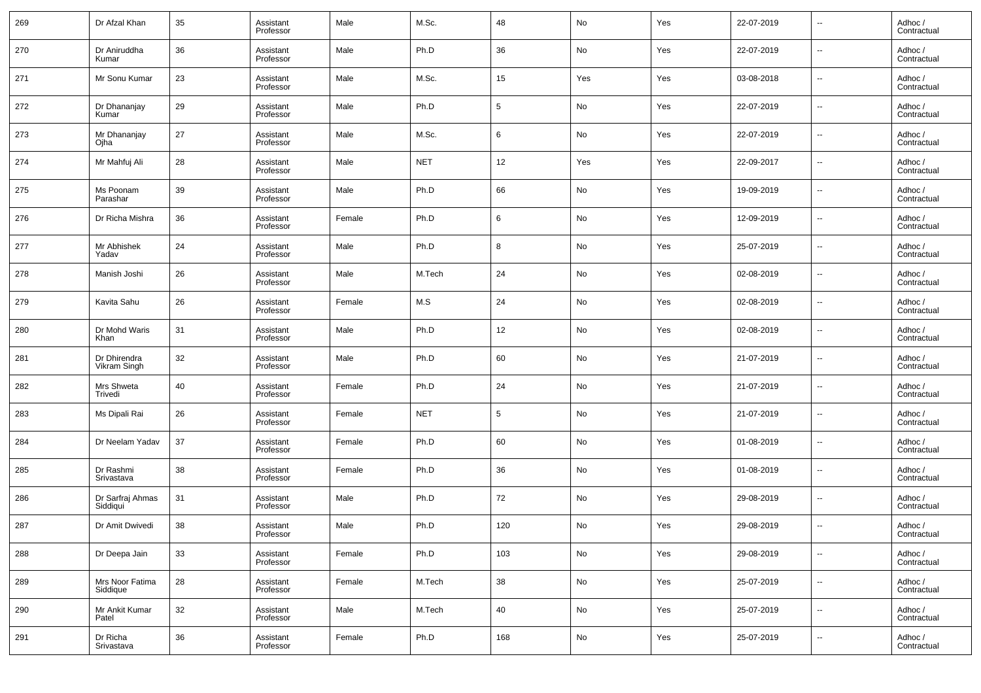| 269 | Dr Afzal Khan                | 35 | Assistant<br>Professor | Male   | M.Sc.      | 48              | No  | Yes | 22-07-2019 | $\overline{\phantom{a}}$ | Adhoc /<br>Contractual |
|-----|------------------------------|----|------------------------|--------|------------|-----------------|-----|-----|------------|--------------------------|------------------------|
| 270 | Dr Aniruddha<br>Kumar        | 36 | Assistant<br>Professor | Male   | Ph.D       | 36              | No  | Yes | 22-07-2019 | $\overline{\phantom{a}}$ | Adhoc /<br>Contractual |
| 271 | Mr Sonu Kumar                | 23 | Assistant<br>Professor | Male   | M.Sc.      | 15              | Yes | Yes | 03-08-2018 | $\overline{\phantom{a}}$ | Adhoc /<br>Contractual |
| 272 | Dr Dhananjay<br>Kumar        | 29 | Assistant<br>Professor | Male   | Ph.D       | $5\overline{)}$ | No  | Yes | 22-07-2019 | $\overline{\phantom{a}}$ | Adhoc /<br>Contractual |
| 273 | Mr Dhananjay<br>Ojha         | 27 | Assistant<br>Professor | Male   | M.Sc.      | 6               | No  | Yes | 22-07-2019 | $\overline{\phantom{a}}$ | Adhoc /<br>Contractual |
| 274 | Mr Mahfuj Ali                | 28 | Assistant<br>Professor | Male   | <b>NET</b> | 12              | Yes | Yes | 22-09-2017 | $\overline{\phantom{a}}$ | Adhoc /<br>Contractual |
| 275 | Ms Poonam<br>Parashar        | 39 | Assistant<br>Professor | Male   | Ph.D       | 66              | No  | Yes | 19-09-2019 | $\overline{\phantom{a}}$ | Adhoc /<br>Contractual |
| 276 | Dr Richa Mishra              | 36 | Assistant<br>Professor | Female | Ph.D       | 6               | No  | Yes | 12-09-2019 | $\overline{\phantom{a}}$ | Adhoc /<br>Contractual |
| 277 | Mr Abhishek<br>Yadav         | 24 | Assistant<br>Professor | Male   | Ph.D       | 8               | No  | Yes | 25-07-2019 | $\overline{\phantom{a}}$ | Adhoc /<br>Contractual |
| 278 | Manish Joshi                 | 26 | Assistant<br>Professor | Male   | M.Tech     | 24              | No  | Yes | 02-08-2019 | $\overline{\phantom{a}}$ | Adhoc /<br>Contractual |
| 279 | Kavita Sahu                  | 26 | Assistant<br>Professor | Female | M.S        | 24              | No  | Yes | 02-08-2019 | $\overline{\phantom{a}}$ | Adhoc /<br>Contractual |
| 280 | Dr Mohd Waris<br>Khan        | 31 | Assistant<br>Professor | Male   | Ph.D       | 12              | No  | Yes | 02-08-2019 | $\overline{\phantom{a}}$ | Adhoc /<br>Contractual |
| 281 | Dr Dhirendra<br>Vikram Singh | 32 | Assistant<br>Professor | Male   | Ph.D       | 60              | No  | Yes | 21-07-2019 | $\overline{\phantom{a}}$ | Adhoc /<br>Contractual |
| 282 | Mrs Shweta<br>Trivedi        | 40 | Assistant<br>Professor | Female | Ph.D       | 24              | No  | Yes | 21-07-2019 | $\overline{\phantom{a}}$ | Adhoc /<br>Contractual |
| 283 | Ms Dipali Rai                | 26 | Assistant<br>Professor | Female | <b>NET</b> | 5               | No  | Yes | 21-07-2019 | $\overline{\phantom{a}}$ | Adhoc /<br>Contractual |
| 284 | Dr Neelam Yadav              | 37 | Assistant<br>Professor | Female | Ph.D       | 60              | No  | Yes | 01-08-2019 | $\overline{\phantom{a}}$ | Adhoc /<br>Contractual |
| 285 | Dr Rashmi<br>Srivastava      | 38 | Assistant<br>Professor | Female | Ph.D       | 36              | No  | Yes | 01-08-2019 | $\overline{\phantom{a}}$ | Adhoc /<br>Contractual |
| 286 | Dr Sarfraj Ahmas<br>Siddiqui | 31 | Assistant<br>Professor | Male   | Ph.D       | 72              | No  | Yes | 29-08-2019 | $\overline{\phantom{a}}$ | Adhoc /<br>Contractual |
| 287 | Dr Amit Dwivedi              | 38 | Assistant<br>Professor | Male   | Ph.D       | 120             | No  | Yes | 29-08-2019 | $\overline{\phantom{a}}$ | Adhoc /<br>Contractual |
| 288 | Dr Deepa Jain                | 33 | Assistant<br>Professor | Female | Ph.D       | 103             | No  | Yes | 29-08-2019 | $\overline{\phantom{a}}$ | Adhoc /<br>Contractual |
| 289 | Mrs Noor Fatima<br>Siddique  | 28 | Assistant<br>Professor | Female | M.Tech     | 38              | No  | Yes | 25-07-2019 | $\overline{\phantom{a}}$ | Adhoc /<br>Contractual |
| 290 | Mr Ankit Kumar<br>Patel      | 32 | Assistant<br>Professor | Male   | M.Tech     | 40              | No  | Yes | 25-07-2019 | ۰.                       | Adhoc /<br>Contractual |
| 291 | Dr Richa<br>Srivastava       | 36 | Assistant<br>Professor | Female | Ph.D       | 168             | No  | Yes | 25-07-2019 | $\overline{\phantom{a}}$ | Adhoc /<br>Contractual |